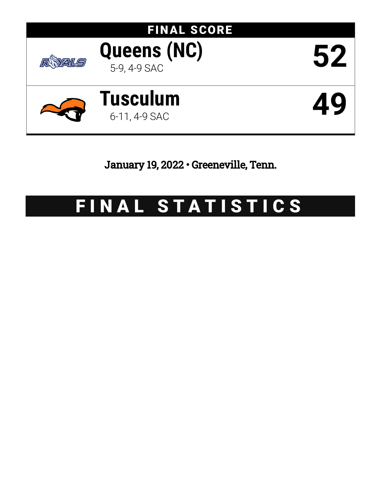

January 19, 2022 • Greeneville, Tenn.

# FINAL STATISTICS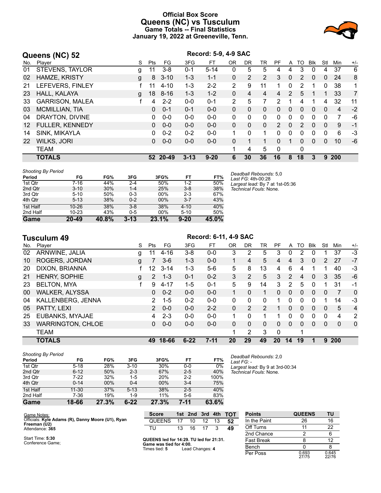# **Official Box Score Queens (NC) vs Tusculum Game Totals -- Final Statistics January 19, 2022 at Greeneville, Tenn.**



|     | Queens (NC) 52         |   | Record: 5-9, 4-9 SAC |          |          |          |                |          |              |                |              |    |              |              |                |                |
|-----|------------------------|---|----------------------|----------|----------|----------|----------------|----------|--------------|----------------|--------------|----|--------------|--------------|----------------|----------------|
| No. | Plaver                 | S | Pts                  | FG.      | 3FG      | FT       | 0 <sub>R</sub> | DR.      | TR           | PF             | A            | TO | <b>BIK</b>   | Stl          | Min            | $+/-$          |
| 01  | <b>STEVENS, TAYLOR</b> | g | 11                   | $3 - 8$  | $0 - 1$  | $5 - 14$ | 0              | 5        | 5            | 4              | 4            | 3  | 0            | 4            | 37             | 6              |
| 02  | HAMZE, KRISTY          | g | 8                    | $3 - 10$ | $1 - 3$  | $1 - 1$  | $\Omega$       | 2        | 2            | 3              | 0            | 2  | $\mathbf{0}$ | 0            | 24             | 8              |
| 21  | LEFEVERS, FINLEY       |   | 11                   | $4 - 10$ | $1 - 3$  | $2 - 2$  | $\overline{2}$ | 9        | 11           |                | 0            | 2  |              | 0            | 38             | 1              |
| 23  | HALL, KALAYA           | g | 18                   | $8 - 16$ | $1 - 3$  | $1 - 2$  | $\Omega$       | 4        | 4            | 4              | 2            | 5  |              | 1.           | 33             | $\overline{7}$ |
| 33  | <b>GARRISON, MALEA</b> |   | 4                    | $2 - 2$  | $0 - 0$  | $0 - 1$  | 2              | 5        |              | 2              |              | 4  |              | 4            | 32             | 11             |
| 03  | <b>MCMILLIAN, TIA</b>  |   | 0                    | $0 - 1$  | $0 - 1$  | $0 - 0$  | $\Omega$       | $\Omega$ | $\Omega$     | 0              | $\mathbf{0}$ | 0  | $\mathbf{0}$ | $\mathbf{0}$ | $\overline{4}$ | $-2$           |
| 04  | DRAYTON, DIVINE        |   | 0                    | $0 - 0$  | $0 - 0$  | $0 - 0$  | $\Omega$       | $\Omega$ | $\Omega$     | $\Omega$       | $\Omega$     | 0  | $\Omega$     | 0            | 7              | -6             |
| 12  | <b>FULLER, KENNEDY</b> |   | 0                    | $0 - 0$  | $0 - 0$  | $0 - 0$  | 0              | $\Omega$ | $\mathbf{0}$ | $\overline{2}$ | $\mathbf{0}$ | 2  | $\mathbf{0}$ | $\mathbf{0}$ | 9              | $-1$           |
| 14  | SINK, MIKAYLA          |   | 0                    | $0 - 2$  | $0 - 2$  | $0 - 0$  | 1              | 0        | 1            | 0              | 0            | 0  | 0            | 0            | 6              | -3             |
| 22  | <b>WILKS, JORI</b>     |   | 0                    | $0 - 0$  | $0 - 0$  | $0 - 0$  | 0              |          |              | 0              | 1            | 0  | $\Omega$     | $\Omega$     | 10             | -6             |
|     | <b>TEAM</b>            |   |                      |          |          |          | 1              | 4        | 5            | $\Omega$       |              | 0  |              |              |                |                |
|     | <b>TOTALS</b>          |   |                      | 52 20-49 | $3 - 13$ | $9 - 20$ | 6              | 30       | 36           | 16             | 8            | 18 | 3            | 9            | <b>200</b>     |                |

| <b>Shooting By Period</b> |           |       |          |       |          |       |
|---------------------------|-----------|-------|----------|-------|----------|-------|
| Period                    | FG        | FG%   | 3FG      | 3FG%  | FT       | FT%   |
| 1st Qtr                   | 7-16      | 44%   | $2 - 4$  | 50%   | $1 - 2$  | 50%   |
| 2nd Qtr                   | $3 - 10$  | 30%   | $1 - 4$  | 25%   | $3 - 8$  | 38%   |
| 3rd Qtr                   | $5 - 10$  | 50%   | $0 - 3$  | 00%   | $2 - 3$  | 67%   |
| 4th Qtr                   | $5 - 13$  | 38%   | $0 - 2$  | 00%   | $3 - 7$  | 43%   |
| 1st Half                  | $10 - 26$ | 38%   | $3 - 8$  | 38%   | $4 - 10$ | 40%   |
| 2nd Half                  | $10 - 23$ | 43%   | $0 - 5$  | 00%   | $5 - 10$ | 50%   |
| Game                      | $20 - 49$ | 40.8% | $3 - 13$ | 23.1% | $9 - 20$ | 45.0% |

*Deadball Rebounds:* 5,0 *Last FG:* 4th-00:28 *Largest lead:* By 7 at 1st-05:36 *Technical Fouls:* None.

*Deadball Rebounds:* 2,0

*Largest lead:* By 9 at 3rd-00:34 *Technical Fouls:* None.

*Last FG:* -

|     | Tusculum 49              |   |                       | Record: 6-11, 4-9 SAC |          |          |          |          |          |          |               |          |             |               |              |              |
|-----|--------------------------|---|-----------------------|-----------------------|----------|----------|----------|----------|----------|----------|---------------|----------|-------------|---------------|--------------|--------------|
| No. | Plaver                   | S | Pts                   | FG.                   | 3FG      | FT       | 0R       | DR.      | TR       | PF       | A             | TO       | <b>B</b> lk | Stl           | Min          | $+/-$        |
| 02  | ARNWINE, JALIA           | g |                       | $4 - 16$              | $3 - 8$  | $0 - 0$  | 3        | 2        | 5        | 3        | 0             | 2        | 0           |               | 37           | -3           |
| 10  | ROGERS, JORDAN           | g |                       | $3-6$                 | $1 - 3$  | $0 - 0$  | 1.       | 4        | 5        | 4        | 4             | 3        | 0           | $\mathcal{P}$ | 27           | $-7$         |
| 20  | DIXON, BRIANNA           |   | 12 <sup>12</sup>      | $3 - 14$              | $1 - 3$  | $5-6$    | 5        | 8        | 13       | 4        | 6             | 4        |             |               | 40           | -3           |
| 21  | HENRY, SOPHIE            | g | $\mathbf{2}^{\prime}$ | $1 - 3$               | $0 - 1$  | $0 - 2$  | 3        | 2        | 5        | 3        | 2             | 4        | 0           | 3             | 35           | $-6$         |
| 23  | <b>BELTON, MYA</b>       |   | 9                     | $4 - 17$              | $1 - 5$  | $0 - 1$  | 5        | 9        | 14       | 3        | $\mathcal{P}$ | 5        | 0           | 1             | 31           | $-1$         |
| 00  | <b>WALKER, ALYSSA</b>    |   | 0                     | $0 - 2$               | $0 - 0$  | $0 - 0$  | 1.       | $\Omega$ | 1        | $\Omega$ | $\Omega$      | 0        | 0           | 0             | 7            | $\mathbf{0}$ |
| 04  | KALLENBERG, JENNA        |   | 2                     | $1 - 5$               | $0 - 2$  | $0 - 0$  | $\Omega$ | $\Omega$ | $\Omega$ | 1        | 0             | 0        | 0           |               | 14           | $-3$         |
| 05  | PATTY, LEXI              |   | $\mathcal{P}$         | $0 - 0$               | $0 - 0$  | $2 - 2$  | $\Omega$ | 2        | 2        |          | $\Omega$      | $\Omega$ | 0           | $\Omega$      | 5            | 4            |
| 25  | EUBANKS, MYAJAE          |   | 4                     | $2 - 3$               | $0 - 0$  | $0 - 0$  |          | 0        | 1        | 1        | $\Omega$      | 0        | 0           | $\Omega$      | 4            | 2            |
| 33  | <b>WARRINGTON, CHLOE</b> |   | 0                     | $0 - 0$               | $0 - 0$  | $0 - 0$  | $\Omega$ | $\Omega$ | $\Omega$ | $\Omega$ | $\Omega$      | $\Omega$ | $\Omega$    | $\mathbf{0}$  | $\mathbf{0}$ | $\mathbf 0$  |
|     | <b>TEAM</b>              |   |                       |                       |          |          |          | 2        | 3        | 0        |               |          |             |               |              |              |
|     | <b>TOTALS</b>            |   | 49                    | 18-66                 | $6 - 22$ | $7 - 11$ | 20       | 29       | 49       | 20       | 14            | 19       | 1           | 9             | 200          |              |

| <b>Shooting By Period</b> |           |       |          |       |         |       |
|---------------------------|-----------|-------|----------|-------|---------|-------|
| Period                    | FG        | FG%   | 3FG      | 3FG%  | FT      | FT%   |
| 1st Qtr                   | $5 - 18$  | 28%   | $3 - 10$ | 30%   | $0 - 0$ | 0%    |
| 2nd Qtr                   | $6 - 12$  | 50%   | $2 - 3$  | 67%   | $2 - 5$ | 40%   |
| 3rd Qtr                   | 7-22      | 32%   | $1 - 5$  | 20%   | $2 - 2$ | 100%  |
| 4th Qtr                   | $0 - 14$  | 00%   | $0 - 4$  | 00%   | $3 - 4$ | 75%   |
| 1st Half                  | $11 - 30$ | 37%   | $5 - 13$ | 38%   | $2 - 5$ | 40%   |
| 2nd Half                  | 7-36      | 19%   | 1-9      | 11%   | $5-6$   | 83%   |
| Game                      | 18-66     | 27.3% | $6 - 22$ | 27.3% | 7-11    | 63.6% |

| -------                                           |                                                                   |     |     |     |     |            |                   |               |    |
|---------------------------------------------------|-------------------------------------------------------------------|-----|-----|-----|-----|------------|-------------------|---------------|----|
| Game Notes:                                       | <b>Score</b>                                                      | 1st | 2nd | 3rd | 4th | <b>TOT</b> | <b>Points</b>     | <b>QUEENS</b> | TU |
| Officials: Kyle Adams (R), Danny Moore (U1), Ryan | <b>QUEENS</b>                                                     |     |     |     |     | 52         | In the Paint      | 26            | 16 |
| Freeman (U2)<br>Attendance: 365                   |                                                                   | 13  | 16  |     |     | 49         | Off Turns         |               | 22 |
|                                                   |                                                                   |     |     |     |     |            | 2nd Chance        |               | 6  |
| Start Time: 5:30<br>Conference Game:              | QUEENS led for 14:29. TU led for 21:31.<br>Game was tied for 4:00 |     |     |     |     |            | <b>Fast Break</b> |               | 12 |
|                                                   |                                                                   |     |     |     |     |            |                   |               |    |

**QUEENS led for 14:29. TU led for 21:31. Game was tied for 4:00.** Times tied: **5** Lead Changes: **4**

| Points       | <b>QUEENS</b>  | ΤU             |
|--------------|----------------|----------------|
| In the Paint | 26             | 16             |
| Off Turns    | 11             | 22             |
| 2nd Chance   | 2              | 6              |
| Fast Break   | 8              | 12             |
| Bench        | U              | 8              |
| Per Poss     | 0.693<br>27/75 | 0.645<br>22/76 |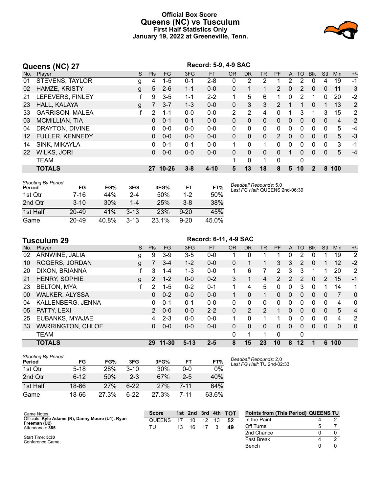# **Official Box Score Queens (NC) vs Tusculum First Half Statistics Only January 19, 2022 at Greeneville, Tenn.**



|     | Queens (NC) 27         |   |            | Record: 5-9, 4-9 SAC |         |           |              |              |           |                |          |              |                |              |     |                |
|-----|------------------------|---|------------|----------------------|---------|-----------|--------------|--------------|-----------|----------------|----------|--------------|----------------|--------------|-----|----------------|
| No. | Plaver                 | S | <b>Pts</b> | FG                   | 3FG     | <b>FT</b> | <b>OR</b>    | <b>DR</b>    | <b>TR</b> | <b>PF</b>      | A        | TO           | <b>Blk</b>     | Stl          | Min | $+/-$          |
| 01  | STEVENS, TAYLOR        | g | 4          | $1 - 5$              | $0 - 1$ | $2 - 8$   | $\mathbf{0}$ | 2            | 2         |                | 2        | 2            | 0              | 4            | 19  | $-1$           |
| 02  | <b>HAMZE, KRISTY</b>   | g | 5          | $2 - 6$              | $1 - 1$ | $0 - 0$   | $\Omega$     |              | 1         | 2              | 0        | 2            | 0              | $\Omega$     | 11  | 3              |
| 21  | LEFEVERS, FINLEY       |   | 9          | $3-5$                | $1 - 1$ | $2 - 2$   |              | 5            | 6         |                | 0        | 2            |                | 0            | 20  | $-2$           |
| 23  | HALL, KALAYA           | g | 7          | $3 - 7$              | $1 - 3$ | $0 - 0$   | $\mathbf{0}$ | 3            | 3         | $\overline{2}$ | 1        | 1            | 0              |              | 13  | 2              |
| 33  | <b>GARRISON, MALEA</b> |   | 2          | 1-1                  | $0 - 0$ | $0 - 0$   | 2            | 2            | 4         | $\Omega$       |          | 3            |                | 3            | 15  | $\overline{2}$ |
| 03  | MCMILLIAN, TIA         |   | $\Omega$   | $0 - 1$              | $0 - 1$ | $0 - 0$   | $\Omega$     | $\mathbf{0}$ | $\Omega$  | $\Omega$       | 0        | $\Omega$     | 0              | $\mathbf{0}$ | 4   | $-2$           |
| 04  | DRAYTON, DIVINE        |   | 0          | $0 - 0$              | $0 - 0$ | $0 - 0$   | $\Omega$     | $\Omega$     | $\Omega$  | $\Omega$       | $\Omega$ | 0            | $\Omega$       | $\Omega$     | 5   | $-4$           |
| 12  | <b>FULLER, KENNEDY</b> |   | 0          | $0 - 0$              | $0 - 0$ | $0 - 0$   | $\Omega$     | $\Omega$     | $\Omega$  | $\overline{2}$ | 0        | $\Omega$     | $\Omega$       | $\Omega$     | 5   | $-3$           |
| 14  | SINK, MIKAYLA          |   | 0          | $0 - 1$              | $0 - 1$ | $0 - 0$   |              | $\Omega$     | 1.        | $\Omega$       | 0        | $\Omega$     | 0              | $\Omega$     | 3   | -1             |
| 22  | <b>WILKS, JORI</b>     |   | 0          | $0 - 0$              | $0 - 0$ | $0 - 0$   | $\Omega$     | $\mathbf{0}$ | $\Omega$  | $\Omega$       | 1        | 0            | 0              | $\Omega$     | 5   | $-4$           |
|     | <b>TEAM</b>            |   |            |                      |         |           |              | 0            | 1         | $\Omega$       |          | $\mathbf{0}$ |                |              |     |                |
|     | <b>TOTALS</b>          |   | 27         | $10 - 26$            | $3 - 8$ | $4 - 10$  | 5            | 13           | 18        | 8              | 5        | 10           | $\overline{2}$ | 8            | 100 |                |

| <b>Shooting By Period</b><br>Period | FG        | FG%   | 3FG      | 3FG%       | FT       | FT%   |
|-------------------------------------|-----------|-------|----------|------------|----------|-------|
| 1st Qtr                             | 7-16      | 44%   | 2-4      | 50%        | $1-2$    | 50%   |
| 2nd Qtr                             | $3 - 10$  | 30%   | $1 - 4$  | 25%        | $3 - 8$  | 38%   |
| 1st Half                            | $20 - 49$ | 41%   | $3 - 13$ | <b>23%</b> | $9 - 20$ | 45%   |
| Game                                | $20 - 49$ | 40.8% | $3 - 13$ | 23.1%      | $9 - 20$ | 45.0% |

*Deadball Rebounds:* 5,0 *Last FG Half:* QUEENS 2nd-06:39

|                 | <b>Tusculum 29</b>       | Record: 6-11, 4-9 SAC |                |           |          |           |           |           |           |           |              |          |              |          |              |                |
|-----------------|--------------------------|-----------------------|----------------|-----------|----------|-----------|-----------|-----------|-----------|-----------|--------------|----------|--------------|----------|--------------|----------------|
| No.             | Plaver                   | S.                    | <b>Pts</b>     | FG.       | 3FG      | <b>FT</b> | <b>OR</b> | <b>DR</b> | <b>TR</b> | <b>PF</b> | A            | TO       | <b>Blk</b>   | Stl      | Min          | $+/-$          |
| 02              | ARNWINE, JALIA           | g                     | 9              | $3-9$     | $3-5$    | $0 - 0$   |           | 0         |           |           | 0            | 2        | 0            |          | 19           | 2              |
| 10              | <b>ROGERS, JORDAN</b>    | g                     |                | $3 - 4$   | $1 - 2$  | $0 - 0$   | 0         |           |           | 3         | 3            | 2        | 0            |          | 12           | $-2$           |
| 20              | DIXON, BRIANNA           |                       | 3              | 1-4       | $1 - 3$  | $0 - 0$   |           | 6         |           | 2         | 3            | 3        |              |          | 20           | $\overline{2}$ |
| 21              | HENRY, SOPHIE            | g                     | 2              | $1 - 2$   | $0 - 0$  | $0 - 2$   | 3         | 1         | 4         | 2         | 2            | 2        | $\mathbf{0}$ | 2        | 15           | $-1$           |
| 23              | <b>BELTON, MYA</b>       |                       | 2              | $1 - 5$   | $0 - 2$  | $0 - 1$   |           | 4         | 5         | 0         | 0            | 3        | 0            |          | 14           | 1              |
| 00 <sup>°</sup> | <b>WALKER, ALYSSA</b>    |                       | 0              | $0 - 2$   | $0 - 0$  | $0 - 0$   |           | 0         | 1         | $\Omega$  | $\mathbf{0}$ | $\Omega$ | $\mathbf{0}$ | $\Omega$ | 7            | $\mathbf{0}$   |
| 04              | KALLENBERG, JENNA        |                       | 0              | $0 - 1$   | $0 - 1$  | $0 - 0$   | $\Omega$  | 0         | $\Omega$  | $\Omega$  | 0            | 0        | $\Omega$     | $\Omega$ | 4            | $\mathbf{0}$   |
| 05              | PATTY, LEXI              |                       | $\overline{2}$ | $0 - 0$   | $0 - 0$  | $2 - 2$   | $\Omega$  | 2         | 2         |           | $\mathbf{0}$ | 0        | $\Omega$     | $\Omega$ | 5            | $\overline{4}$ |
| 25              | EUBANKS, MYAJAE          |                       | 4              | $2 - 3$   | $0 - 0$  | $0 - 0$   |           | 0         | 1         |           | 0            | 0        | $\Omega$     | $\Omega$ | 4            | $\overline{2}$ |
| 33              | <b>WARRINGTON, CHLOE</b> |                       | 0              | $0 - 0$   | $0 - 0$  | $0 - 0$   | $\Omega$  | 0         | $\Omega$  | 0         | $\Omega$     | 0        | $\Omega$     | $\Omega$ | $\mathbf{0}$ | $\mathbf{0}$   |
|                 | <b>TEAM</b>              |                       |                |           |          |           | 0         |           |           | $\Omega$  |              | 0        |              |          |              |                |
|                 | <b>TOTALS</b>            |                       | 29             | $11 - 30$ | $5 - 13$ | $2 - 5$   | 8         | 15        | 23        | 10        | 8            | 12       |              | 6        | 100          |                |

| <b>Shooting By Period</b><br>Period | FG       | FG%   | 3FG    | 3FG%  | FT      | FT%   |
|-------------------------------------|----------|-------|--------|-------|---------|-------|
| 1st Otr                             | $5 - 18$ | 28%   | $3-10$ | 30%   | $0 - 0$ | 0%    |
| 2nd Qtr                             | $6 - 12$ | 50%   | $2-3$  | 67%   | $2-5$   | 40%   |
| 1st Half                            | 18-66    | 27%   | հ-22   | 27%   | 7-11    | 64%   |
| Game                                | 18-66    | 27.3% | հ.22   | 27.3% | 7-11    | 63.6% |

*Deadball Rebounds:* 2,0 *Last FG Half:* TU 2nd-02:33

| Game Notes:                                       | <b>Score</b> |    |    |  | 1st 2nd 3rd 4th TOT | <b>Points from (This Period) QUEENS TU</b> |  |
|---------------------------------------------------|--------------|----|----|--|---------------------|--------------------------------------------|--|
| Officials: Kyle Adams (R), Danny Moore (U1), Ryan | QUEENS       |    | 10 |  | -52                 | In the Paint                               |  |
| Freeman (U2)<br>Attendance: 365                   | τυ⊤          | 13 | 16 |  | 49                  | Off Turns                                  |  |
|                                                   |              |    |    |  |                     | 2nd Chance                                 |  |
| Start Time: 5:30<br>Conference Game:              |              |    |    |  |                     | <b>Fast Break</b>                          |  |
|                                                   |              |    |    |  |                     | Bench                                      |  |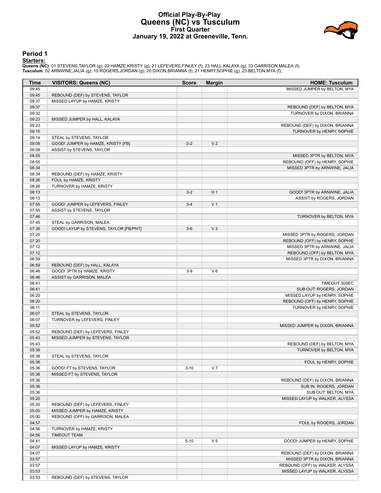# **Official Play-By-Play Queens (NC) vs Tusculum First Quarter January 19, 2022 at Greeneville, Tenn.**



# **Period 1**

<mark>Starters:</mark><br>Queens (NC): 01 STEVENS,TAYLOR (g); 02 HAMZE,KRISTY (g); 21 LEFEVERS,FINLEY (f); 23 HALL,KALAYA (g); 33 GARRISON,MALEA (f);<br>Tusculum: 02 ARNWINE,JALIA (g); 10 ROGERS,JORDAN (g); 20 DIXON,BRIANNA (f); 21 HENRY,S

| MISSED JUMPER by BELTON, MYA<br>09:45<br>09:45<br>REBOUND (DEF) by STEVENS, TAYLOR<br>09:37<br>MISSED LAYUP by HAMZE, KRISTY<br>09:37<br>REBOUND (DEF) by BELTON, MYA<br>09:32<br>TURNOVER by DIXON, BRIANNA<br>09:23<br>MISSED JUMPER by HALL, KALAYA<br>09:23<br>REBOUND (DEF) by DIXON, BRIANNA<br>09:15<br>TURNOVER by HENRY, SOPHIE<br>09:14<br>STEAL by STEVENS, TAYLOR<br>09:09<br>GOOD! JUMPER by HAMZE, KRISTY [FB]<br>$0 - 2$<br>V <sub>2</sub><br>09:09<br>ASSIST by STEVENS, TAYLOR<br>08:55<br>MISSED 3PTR by BELTON, MYA<br>08:55<br>REBOUND (OFF) by HENRY, SOPHIE<br>08:34<br>MISSED 3PTR by ARNWINE, JALIA<br>08:34<br>REBOUND (DEF) by HAMZE, KRISTY<br>08:26<br>FOUL by HAMZE, KRISTY<br>08:26<br>TURNOVER by HAMZE, KRISTY<br>H <sub>1</sub><br>08:13<br>$3 - 2$<br>GOOD! 3PTR by ARNWINE, JALIA<br>08:13<br>ASSIST by ROGERS, JORDAN<br>07:55<br>V <sub>1</sub><br>GOOD! JUMPER by LEFEVERS, FINLEY<br>$3 - 4$<br>07:55<br>ASSIST by STEVENS, TAYLOR<br>07:46<br>TURNOVER by BELTON, MYA<br>07:45<br>STEAL by GARRISON, MALEA<br>V <sub>3</sub><br>07:39<br>GOOD! LAYUP by STEVENS, TAYLOR [FB/PNT]<br>$3-6$<br>07:20<br>MISSED 3PTR by ROGERS, JORDAN<br>07:20<br>REBOUND (OFF) by HENRY, SOPHIE<br>07:12<br>MISSED 3PTR by ARNWINE, JALIA<br>07:12<br>REBOUND (OFF) by BELTON, MYA<br>06:59<br>MISSED 3PTR by DIXON, BRIANNA<br>06:59<br>REBOUND (DEF) by HALL, KALAYA<br>06:46<br>$V_6$<br>GOOD! 3PTR by HAMZE, KRISTY<br>$3-9$<br>06:46<br>ASSIST by GARRISON, MALEA<br>06:41<br>TIMEOUT 30SEC<br>06:41<br>SUB OUT: ROGERS, JORDAN<br>06:20<br>MISSED LAYUP by HENRY, SOPHIE<br>06:20<br>REBOUND (OFF) by HENRY, SOPHIE<br>06:11<br>TURNOVER by HENRY, SOPHIE<br>06:07<br>STEAL by STEVENS, TAYLOR<br>06:07<br>TURNOVER by LEFEVERS, FINLEY<br>05:52<br>MISSED JUMPER by DIXON, BRIANNA<br>05:52<br>REBOUND (DEF) by LEFEVERS, FINLEY<br>05:43<br>MISSED JUMPER by STEVENS, TAYLOR<br>05:43<br>REBOUND (DEF) by BELTON, MYA<br>05:39<br>TURNOVER by BELTON, MYA<br>05:38<br>STEAL by STEVENS, TAYLOR<br>05:36<br>FOUL by HENRY, SOPHIE<br>V <sub>7</sub><br>05:36<br>GOOD! FT by STEVENS, TAYLOR<br>$3 - 10$<br>05:36<br>MISSED FT by STEVENS, TAYLOR<br>05:36<br>REBOUND (DEF) by DIXON, BRIANNA<br>05:36<br>SUB IN: ROGERS, JORDAN<br>05:36<br>SUB OUT: BELTON, MYA<br>05:20<br>MISSED LAYUP by WALKER, ALYSSA<br>REBOUND (DEF) by LEFEVERS, FINLEY<br>05:20<br>05:00<br>MISSED JUMPER by HAMZE, KRISTY<br>05:00<br>REBOUND (OFF) by GARRISON, MALEA<br>04:57<br>FOUL by ROGERS, JORDAN<br>04:56<br>TURNOVER by HAMZE, KRISTY<br>04:56<br><b>TIMEOUT TEAM</b><br>V <sub>5</sub><br>04:41<br>$5 - 10$<br>GOOD! JUMPER by HENRY, SOPHIE<br>04:07<br>MISSED LAYUP by HAMZE, KRISTY<br>04:07<br>REBOUND (DEF) by DIXON, BRIANNA<br>03:57<br>MISSED 3PTR by DIXON, BRIANNA<br>03:57<br>REBOUND (OFF) by WALKER, ALYSSA<br>03:53<br>MISSED LAYUP by WALKER, ALYSSA<br>03:53<br>REBOUND (DEF) by STEVENS, TAYLOR | Time | <b>VISITORS: Queens (NC)</b> | <b>Score</b> | <b>Margin</b> | <b>HOME: Tusculum</b> |
|--------------------------------------------------------------------------------------------------------------------------------------------------------------------------------------------------------------------------------------------------------------------------------------------------------------------------------------------------------------------------------------------------------------------------------------------------------------------------------------------------------------------------------------------------------------------------------------------------------------------------------------------------------------------------------------------------------------------------------------------------------------------------------------------------------------------------------------------------------------------------------------------------------------------------------------------------------------------------------------------------------------------------------------------------------------------------------------------------------------------------------------------------------------------------------------------------------------------------------------------------------------------------------------------------------------------------------------------------------------------------------------------------------------------------------------------------------------------------------------------------------------------------------------------------------------------------------------------------------------------------------------------------------------------------------------------------------------------------------------------------------------------------------------------------------------------------------------------------------------------------------------------------------------------------------------------------------------------------------------------------------------------------------------------------------------------------------------------------------------------------------------------------------------------------------------------------------------------------------------------------------------------------------------------------------------------------------------------------------------------------------------------------------------------------------------------------------------------------------------------------------------------------------------------------------------------------------------------------------------------------------------------------------------------------------------------------------------------------------------------------------------------------------------------------------------------------------------------------------------------------------------------------------------------------------------|------|------------------------------|--------------|---------------|-----------------------|
|                                                                                                                                                                                                                                                                                                                                                                                                                                                                                                                                                                                                                                                                                                                                                                                                                                                                                                                                                                                                                                                                                                                                                                                                                                                                                                                                                                                                                                                                                                                                                                                                                                                                                                                                                                                                                                                                                                                                                                                                                                                                                                                                                                                                                                                                                                                                                                                                                                                                                                                                                                                                                                                                                                                                                                                                                                                                                                                                      |      |                              |              |               |                       |
|                                                                                                                                                                                                                                                                                                                                                                                                                                                                                                                                                                                                                                                                                                                                                                                                                                                                                                                                                                                                                                                                                                                                                                                                                                                                                                                                                                                                                                                                                                                                                                                                                                                                                                                                                                                                                                                                                                                                                                                                                                                                                                                                                                                                                                                                                                                                                                                                                                                                                                                                                                                                                                                                                                                                                                                                                                                                                                                                      |      |                              |              |               |                       |
|                                                                                                                                                                                                                                                                                                                                                                                                                                                                                                                                                                                                                                                                                                                                                                                                                                                                                                                                                                                                                                                                                                                                                                                                                                                                                                                                                                                                                                                                                                                                                                                                                                                                                                                                                                                                                                                                                                                                                                                                                                                                                                                                                                                                                                                                                                                                                                                                                                                                                                                                                                                                                                                                                                                                                                                                                                                                                                                                      |      |                              |              |               |                       |
|                                                                                                                                                                                                                                                                                                                                                                                                                                                                                                                                                                                                                                                                                                                                                                                                                                                                                                                                                                                                                                                                                                                                                                                                                                                                                                                                                                                                                                                                                                                                                                                                                                                                                                                                                                                                                                                                                                                                                                                                                                                                                                                                                                                                                                                                                                                                                                                                                                                                                                                                                                                                                                                                                                                                                                                                                                                                                                                                      |      |                              |              |               |                       |
|                                                                                                                                                                                                                                                                                                                                                                                                                                                                                                                                                                                                                                                                                                                                                                                                                                                                                                                                                                                                                                                                                                                                                                                                                                                                                                                                                                                                                                                                                                                                                                                                                                                                                                                                                                                                                                                                                                                                                                                                                                                                                                                                                                                                                                                                                                                                                                                                                                                                                                                                                                                                                                                                                                                                                                                                                                                                                                                                      |      |                              |              |               |                       |
|                                                                                                                                                                                                                                                                                                                                                                                                                                                                                                                                                                                                                                                                                                                                                                                                                                                                                                                                                                                                                                                                                                                                                                                                                                                                                                                                                                                                                                                                                                                                                                                                                                                                                                                                                                                                                                                                                                                                                                                                                                                                                                                                                                                                                                                                                                                                                                                                                                                                                                                                                                                                                                                                                                                                                                                                                                                                                                                                      |      |                              |              |               |                       |
|                                                                                                                                                                                                                                                                                                                                                                                                                                                                                                                                                                                                                                                                                                                                                                                                                                                                                                                                                                                                                                                                                                                                                                                                                                                                                                                                                                                                                                                                                                                                                                                                                                                                                                                                                                                                                                                                                                                                                                                                                                                                                                                                                                                                                                                                                                                                                                                                                                                                                                                                                                                                                                                                                                                                                                                                                                                                                                                                      |      |                              |              |               |                       |
|                                                                                                                                                                                                                                                                                                                                                                                                                                                                                                                                                                                                                                                                                                                                                                                                                                                                                                                                                                                                                                                                                                                                                                                                                                                                                                                                                                                                                                                                                                                                                                                                                                                                                                                                                                                                                                                                                                                                                                                                                                                                                                                                                                                                                                                                                                                                                                                                                                                                                                                                                                                                                                                                                                                                                                                                                                                                                                                                      |      |                              |              |               |                       |
|                                                                                                                                                                                                                                                                                                                                                                                                                                                                                                                                                                                                                                                                                                                                                                                                                                                                                                                                                                                                                                                                                                                                                                                                                                                                                                                                                                                                                                                                                                                                                                                                                                                                                                                                                                                                                                                                                                                                                                                                                                                                                                                                                                                                                                                                                                                                                                                                                                                                                                                                                                                                                                                                                                                                                                                                                                                                                                                                      |      |                              |              |               |                       |
|                                                                                                                                                                                                                                                                                                                                                                                                                                                                                                                                                                                                                                                                                                                                                                                                                                                                                                                                                                                                                                                                                                                                                                                                                                                                                                                                                                                                                                                                                                                                                                                                                                                                                                                                                                                                                                                                                                                                                                                                                                                                                                                                                                                                                                                                                                                                                                                                                                                                                                                                                                                                                                                                                                                                                                                                                                                                                                                                      |      |                              |              |               |                       |
|                                                                                                                                                                                                                                                                                                                                                                                                                                                                                                                                                                                                                                                                                                                                                                                                                                                                                                                                                                                                                                                                                                                                                                                                                                                                                                                                                                                                                                                                                                                                                                                                                                                                                                                                                                                                                                                                                                                                                                                                                                                                                                                                                                                                                                                                                                                                                                                                                                                                                                                                                                                                                                                                                                                                                                                                                                                                                                                                      |      |                              |              |               |                       |
|                                                                                                                                                                                                                                                                                                                                                                                                                                                                                                                                                                                                                                                                                                                                                                                                                                                                                                                                                                                                                                                                                                                                                                                                                                                                                                                                                                                                                                                                                                                                                                                                                                                                                                                                                                                                                                                                                                                                                                                                                                                                                                                                                                                                                                                                                                                                                                                                                                                                                                                                                                                                                                                                                                                                                                                                                                                                                                                                      |      |                              |              |               |                       |
|                                                                                                                                                                                                                                                                                                                                                                                                                                                                                                                                                                                                                                                                                                                                                                                                                                                                                                                                                                                                                                                                                                                                                                                                                                                                                                                                                                                                                                                                                                                                                                                                                                                                                                                                                                                                                                                                                                                                                                                                                                                                                                                                                                                                                                                                                                                                                                                                                                                                                                                                                                                                                                                                                                                                                                                                                                                                                                                                      |      |                              |              |               |                       |
|                                                                                                                                                                                                                                                                                                                                                                                                                                                                                                                                                                                                                                                                                                                                                                                                                                                                                                                                                                                                                                                                                                                                                                                                                                                                                                                                                                                                                                                                                                                                                                                                                                                                                                                                                                                                                                                                                                                                                                                                                                                                                                                                                                                                                                                                                                                                                                                                                                                                                                                                                                                                                                                                                                                                                                                                                                                                                                                                      |      |                              |              |               |                       |
|                                                                                                                                                                                                                                                                                                                                                                                                                                                                                                                                                                                                                                                                                                                                                                                                                                                                                                                                                                                                                                                                                                                                                                                                                                                                                                                                                                                                                                                                                                                                                                                                                                                                                                                                                                                                                                                                                                                                                                                                                                                                                                                                                                                                                                                                                                                                                                                                                                                                                                                                                                                                                                                                                                                                                                                                                                                                                                                                      |      |                              |              |               |                       |
|                                                                                                                                                                                                                                                                                                                                                                                                                                                                                                                                                                                                                                                                                                                                                                                                                                                                                                                                                                                                                                                                                                                                                                                                                                                                                                                                                                                                                                                                                                                                                                                                                                                                                                                                                                                                                                                                                                                                                                                                                                                                                                                                                                                                                                                                                                                                                                                                                                                                                                                                                                                                                                                                                                                                                                                                                                                                                                                                      |      |                              |              |               |                       |
|                                                                                                                                                                                                                                                                                                                                                                                                                                                                                                                                                                                                                                                                                                                                                                                                                                                                                                                                                                                                                                                                                                                                                                                                                                                                                                                                                                                                                                                                                                                                                                                                                                                                                                                                                                                                                                                                                                                                                                                                                                                                                                                                                                                                                                                                                                                                                                                                                                                                                                                                                                                                                                                                                                                                                                                                                                                                                                                                      |      |                              |              |               |                       |
|                                                                                                                                                                                                                                                                                                                                                                                                                                                                                                                                                                                                                                                                                                                                                                                                                                                                                                                                                                                                                                                                                                                                                                                                                                                                                                                                                                                                                                                                                                                                                                                                                                                                                                                                                                                                                                                                                                                                                                                                                                                                                                                                                                                                                                                                                                                                                                                                                                                                                                                                                                                                                                                                                                                                                                                                                                                                                                                                      |      |                              |              |               |                       |
|                                                                                                                                                                                                                                                                                                                                                                                                                                                                                                                                                                                                                                                                                                                                                                                                                                                                                                                                                                                                                                                                                                                                                                                                                                                                                                                                                                                                                                                                                                                                                                                                                                                                                                                                                                                                                                                                                                                                                                                                                                                                                                                                                                                                                                                                                                                                                                                                                                                                                                                                                                                                                                                                                                                                                                                                                                                                                                                                      |      |                              |              |               |                       |
|                                                                                                                                                                                                                                                                                                                                                                                                                                                                                                                                                                                                                                                                                                                                                                                                                                                                                                                                                                                                                                                                                                                                                                                                                                                                                                                                                                                                                                                                                                                                                                                                                                                                                                                                                                                                                                                                                                                                                                                                                                                                                                                                                                                                                                                                                                                                                                                                                                                                                                                                                                                                                                                                                                                                                                                                                                                                                                                                      |      |                              |              |               |                       |
|                                                                                                                                                                                                                                                                                                                                                                                                                                                                                                                                                                                                                                                                                                                                                                                                                                                                                                                                                                                                                                                                                                                                                                                                                                                                                                                                                                                                                                                                                                                                                                                                                                                                                                                                                                                                                                                                                                                                                                                                                                                                                                                                                                                                                                                                                                                                                                                                                                                                                                                                                                                                                                                                                                                                                                                                                                                                                                                                      |      |                              |              |               |                       |
|                                                                                                                                                                                                                                                                                                                                                                                                                                                                                                                                                                                                                                                                                                                                                                                                                                                                                                                                                                                                                                                                                                                                                                                                                                                                                                                                                                                                                                                                                                                                                                                                                                                                                                                                                                                                                                                                                                                                                                                                                                                                                                                                                                                                                                                                                                                                                                                                                                                                                                                                                                                                                                                                                                                                                                                                                                                                                                                                      |      |                              |              |               |                       |
|                                                                                                                                                                                                                                                                                                                                                                                                                                                                                                                                                                                                                                                                                                                                                                                                                                                                                                                                                                                                                                                                                                                                                                                                                                                                                                                                                                                                                                                                                                                                                                                                                                                                                                                                                                                                                                                                                                                                                                                                                                                                                                                                                                                                                                                                                                                                                                                                                                                                                                                                                                                                                                                                                                                                                                                                                                                                                                                                      |      |                              |              |               |                       |
|                                                                                                                                                                                                                                                                                                                                                                                                                                                                                                                                                                                                                                                                                                                                                                                                                                                                                                                                                                                                                                                                                                                                                                                                                                                                                                                                                                                                                                                                                                                                                                                                                                                                                                                                                                                                                                                                                                                                                                                                                                                                                                                                                                                                                                                                                                                                                                                                                                                                                                                                                                                                                                                                                                                                                                                                                                                                                                                                      |      |                              |              |               |                       |
|                                                                                                                                                                                                                                                                                                                                                                                                                                                                                                                                                                                                                                                                                                                                                                                                                                                                                                                                                                                                                                                                                                                                                                                                                                                                                                                                                                                                                                                                                                                                                                                                                                                                                                                                                                                                                                                                                                                                                                                                                                                                                                                                                                                                                                                                                                                                                                                                                                                                                                                                                                                                                                                                                                                                                                                                                                                                                                                                      |      |                              |              |               |                       |
|                                                                                                                                                                                                                                                                                                                                                                                                                                                                                                                                                                                                                                                                                                                                                                                                                                                                                                                                                                                                                                                                                                                                                                                                                                                                                                                                                                                                                                                                                                                                                                                                                                                                                                                                                                                                                                                                                                                                                                                                                                                                                                                                                                                                                                                                                                                                                                                                                                                                                                                                                                                                                                                                                                                                                                                                                                                                                                                                      |      |                              |              |               |                       |
|                                                                                                                                                                                                                                                                                                                                                                                                                                                                                                                                                                                                                                                                                                                                                                                                                                                                                                                                                                                                                                                                                                                                                                                                                                                                                                                                                                                                                                                                                                                                                                                                                                                                                                                                                                                                                                                                                                                                                                                                                                                                                                                                                                                                                                                                                                                                                                                                                                                                                                                                                                                                                                                                                                                                                                                                                                                                                                                                      |      |                              |              |               |                       |
|                                                                                                                                                                                                                                                                                                                                                                                                                                                                                                                                                                                                                                                                                                                                                                                                                                                                                                                                                                                                                                                                                                                                                                                                                                                                                                                                                                                                                                                                                                                                                                                                                                                                                                                                                                                                                                                                                                                                                                                                                                                                                                                                                                                                                                                                                                                                                                                                                                                                                                                                                                                                                                                                                                                                                                                                                                                                                                                                      |      |                              |              |               |                       |
|                                                                                                                                                                                                                                                                                                                                                                                                                                                                                                                                                                                                                                                                                                                                                                                                                                                                                                                                                                                                                                                                                                                                                                                                                                                                                                                                                                                                                                                                                                                                                                                                                                                                                                                                                                                                                                                                                                                                                                                                                                                                                                                                                                                                                                                                                                                                                                                                                                                                                                                                                                                                                                                                                                                                                                                                                                                                                                                                      |      |                              |              |               |                       |
|                                                                                                                                                                                                                                                                                                                                                                                                                                                                                                                                                                                                                                                                                                                                                                                                                                                                                                                                                                                                                                                                                                                                                                                                                                                                                                                                                                                                                                                                                                                                                                                                                                                                                                                                                                                                                                                                                                                                                                                                                                                                                                                                                                                                                                                                                                                                                                                                                                                                                                                                                                                                                                                                                                                                                                                                                                                                                                                                      |      |                              |              |               |                       |
|                                                                                                                                                                                                                                                                                                                                                                                                                                                                                                                                                                                                                                                                                                                                                                                                                                                                                                                                                                                                                                                                                                                                                                                                                                                                                                                                                                                                                                                                                                                                                                                                                                                                                                                                                                                                                                                                                                                                                                                                                                                                                                                                                                                                                                                                                                                                                                                                                                                                                                                                                                                                                                                                                                                                                                                                                                                                                                                                      |      |                              |              |               |                       |
|                                                                                                                                                                                                                                                                                                                                                                                                                                                                                                                                                                                                                                                                                                                                                                                                                                                                                                                                                                                                                                                                                                                                                                                                                                                                                                                                                                                                                                                                                                                                                                                                                                                                                                                                                                                                                                                                                                                                                                                                                                                                                                                                                                                                                                                                                                                                                                                                                                                                                                                                                                                                                                                                                                                                                                                                                                                                                                                                      |      |                              |              |               |                       |
|                                                                                                                                                                                                                                                                                                                                                                                                                                                                                                                                                                                                                                                                                                                                                                                                                                                                                                                                                                                                                                                                                                                                                                                                                                                                                                                                                                                                                                                                                                                                                                                                                                                                                                                                                                                                                                                                                                                                                                                                                                                                                                                                                                                                                                                                                                                                                                                                                                                                                                                                                                                                                                                                                                                                                                                                                                                                                                                                      |      |                              |              |               |                       |
|                                                                                                                                                                                                                                                                                                                                                                                                                                                                                                                                                                                                                                                                                                                                                                                                                                                                                                                                                                                                                                                                                                                                                                                                                                                                                                                                                                                                                                                                                                                                                                                                                                                                                                                                                                                                                                                                                                                                                                                                                                                                                                                                                                                                                                                                                                                                                                                                                                                                                                                                                                                                                                                                                                                                                                                                                                                                                                                                      |      |                              |              |               |                       |
|                                                                                                                                                                                                                                                                                                                                                                                                                                                                                                                                                                                                                                                                                                                                                                                                                                                                                                                                                                                                                                                                                                                                                                                                                                                                                                                                                                                                                                                                                                                                                                                                                                                                                                                                                                                                                                                                                                                                                                                                                                                                                                                                                                                                                                                                                                                                                                                                                                                                                                                                                                                                                                                                                                                                                                                                                                                                                                                                      |      |                              |              |               |                       |
|                                                                                                                                                                                                                                                                                                                                                                                                                                                                                                                                                                                                                                                                                                                                                                                                                                                                                                                                                                                                                                                                                                                                                                                                                                                                                                                                                                                                                                                                                                                                                                                                                                                                                                                                                                                                                                                                                                                                                                                                                                                                                                                                                                                                                                                                                                                                                                                                                                                                                                                                                                                                                                                                                                                                                                                                                                                                                                                                      |      |                              |              |               |                       |
|                                                                                                                                                                                                                                                                                                                                                                                                                                                                                                                                                                                                                                                                                                                                                                                                                                                                                                                                                                                                                                                                                                                                                                                                                                                                                                                                                                                                                                                                                                                                                                                                                                                                                                                                                                                                                                                                                                                                                                                                                                                                                                                                                                                                                                                                                                                                                                                                                                                                                                                                                                                                                                                                                                                                                                                                                                                                                                                                      |      |                              |              |               |                       |
|                                                                                                                                                                                                                                                                                                                                                                                                                                                                                                                                                                                                                                                                                                                                                                                                                                                                                                                                                                                                                                                                                                                                                                                                                                                                                                                                                                                                                                                                                                                                                                                                                                                                                                                                                                                                                                                                                                                                                                                                                                                                                                                                                                                                                                                                                                                                                                                                                                                                                                                                                                                                                                                                                                                                                                                                                                                                                                                                      |      |                              |              |               |                       |
|                                                                                                                                                                                                                                                                                                                                                                                                                                                                                                                                                                                                                                                                                                                                                                                                                                                                                                                                                                                                                                                                                                                                                                                                                                                                                                                                                                                                                                                                                                                                                                                                                                                                                                                                                                                                                                                                                                                                                                                                                                                                                                                                                                                                                                                                                                                                                                                                                                                                                                                                                                                                                                                                                                                                                                                                                                                                                                                                      |      |                              |              |               |                       |
|                                                                                                                                                                                                                                                                                                                                                                                                                                                                                                                                                                                                                                                                                                                                                                                                                                                                                                                                                                                                                                                                                                                                                                                                                                                                                                                                                                                                                                                                                                                                                                                                                                                                                                                                                                                                                                                                                                                                                                                                                                                                                                                                                                                                                                                                                                                                                                                                                                                                                                                                                                                                                                                                                                                                                                                                                                                                                                                                      |      |                              |              |               |                       |
|                                                                                                                                                                                                                                                                                                                                                                                                                                                                                                                                                                                                                                                                                                                                                                                                                                                                                                                                                                                                                                                                                                                                                                                                                                                                                                                                                                                                                                                                                                                                                                                                                                                                                                                                                                                                                                                                                                                                                                                                                                                                                                                                                                                                                                                                                                                                                                                                                                                                                                                                                                                                                                                                                                                                                                                                                                                                                                                                      |      |                              |              |               |                       |
|                                                                                                                                                                                                                                                                                                                                                                                                                                                                                                                                                                                                                                                                                                                                                                                                                                                                                                                                                                                                                                                                                                                                                                                                                                                                                                                                                                                                                                                                                                                                                                                                                                                                                                                                                                                                                                                                                                                                                                                                                                                                                                                                                                                                                                                                                                                                                                                                                                                                                                                                                                                                                                                                                                                                                                                                                                                                                                                                      |      |                              |              |               |                       |
|                                                                                                                                                                                                                                                                                                                                                                                                                                                                                                                                                                                                                                                                                                                                                                                                                                                                                                                                                                                                                                                                                                                                                                                                                                                                                                                                                                                                                                                                                                                                                                                                                                                                                                                                                                                                                                                                                                                                                                                                                                                                                                                                                                                                                                                                                                                                                                                                                                                                                                                                                                                                                                                                                                                                                                                                                                                                                                                                      |      |                              |              |               |                       |
|                                                                                                                                                                                                                                                                                                                                                                                                                                                                                                                                                                                                                                                                                                                                                                                                                                                                                                                                                                                                                                                                                                                                                                                                                                                                                                                                                                                                                                                                                                                                                                                                                                                                                                                                                                                                                                                                                                                                                                                                                                                                                                                                                                                                                                                                                                                                                                                                                                                                                                                                                                                                                                                                                                                                                                                                                                                                                                                                      |      |                              |              |               |                       |
|                                                                                                                                                                                                                                                                                                                                                                                                                                                                                                                                                                                                                                                                                                                                                                                                                                                                                                                                                                                                                                                                                                                                                                                                                                                                                                                                                                                                                                                                                                                                                                                                                                                                                                                                                                                                                                                                                                                                                                                                                                                                                                                                                                                                                                                                                                                                                                                                                                                                                                                                                                                                                                                                                                                                                                                                                                                                                                                                      |      |                              |              |               |                       |
|                                                                                                                                                                                                                                                                                                                                                                                                                                                                                                                                                                                                                                                                                                                                                                                                                                                                                                                                                                                                                                                                                                                                                                                                                                                                                                                                                                                                                                                                                                                                                                                                                                                                                                                                                                                                                                                                                                                                                                                                                                                                                                                                                                                                                                                                                                                                                                                                                                                                                                                                                                                                                                                                                                                                                                                                                                                                                                                                      |      |                              |              |               |                       |
|                                                                                                                                                                                                                                                                                                                                                                                                                                                                                                                                                                                                                                                                                                                                                                                                                                                                                                                                                                                                                                                                                                                                                                                                                                                                                                                                                                                                                                                                                                                                                                                                                                                                                                                                                                                                                                                                                                                                                                                                                                                                                                                                                                                                                                                                                                                                                                                                                                                                                                                                                                                                                                                                                                                                                                                                                                                                                                                                      |      |                              |              |               |                       |
|                                                                                                                                                                                                                                                                                                                                                                                                                                                                                                                                                                                                                                                                                                                                                                                                                                                                                                                                                                                                                                                                                                                                                                                                                                                                                                                                                                                                                                                                                                                                                                                                                                                                                                                                                                                                                                                                                                                                                                                                                                                                                                                                                                                                                                                                                                                                                                                                                                                                                                                                                                                                                                                                                                                                                                                                                                                                                                                                      |      |                              |              |               |                       |
|                                                                                                                                                                                                                                                                                                                                                                                                                                                                                                                                                                                                                                                                                                                                                                                                                                                                                                                                                                                                                                                                                                                                                                                                                                                                                                                                                                                                                                                                                                                                                                                                                                                                                                                                                                                                                                                                                                                                                                                                                                                                                                                                                                                                                                                                                                                                                                                                                                                                                                                                                                                                                                                                                                                                                                                                                                                                                                                                      |      |                              |              |               |                       |
|                                                                                                                                                                                                                                                                                                                                                                                                                                                                                                                                                                                                                                                                                                                                                                                                                                                                                                                                                                                                                                                                                                                                                                                                                                                                                                                                                                                                                                                                                                                                                                                                                                                                                                                                                                                                                                                                                                                                                                                                                                                                                                                                                                                                                                                                                                                                                                                                                                                                                                                                                                                                                                                                                                                                                                                                                                                                                                                                      |      |                              |              |               |                       |
|                                                                                                                                                                                                                                                                                                                                                                                                                                                                                                                                                                                                                                                                                                                                                                                                                                                                                                                                                                                                                                                                                                                                                                                                                                                                                                                                                                                                                                                                                                                                                                                                                                                                                                                                                                                                                                                                                                                                                                                                                                                                                                                                                                                                                                                                                                                                                                                                                                                                                                                                                                                                                                                                                                                                                                                                                                                                                                                                      |      |                              |              |               |                       |
|                                                                                                                                                                                                                                                                                                                                                                                                                                                                                                                                                                                                                                                                                                                                                                                                                                                                                                                                                                                                                                                                                                                                                                                                                                                                                                                                                                                                                                                                                                                                                                                                                                                                                                                                                                                                                                                                                                                                                                                                                                                                                                                                                                                                                                                                                                                                                                                                                                                                                                                                                                                                                                                                                                                                                                                                                                                                                                                                      |      |                              |              |               |                       |
|                                                                                                                                                                                                                                                                                                                                                                                                                                                                                                                                                                                                                                                                                                                                                                                                                                                                                                                                                                                                                                                                                                                                                                                                                                                                                                                                                                                                                                                                                                                                                                                                                                                                                                                                                                                                                                                                                                                                                                                                                                                                                                                                                                                                                                                                                                                                                                                                                                                                                                                                                                                                                                                                                                                                                                                                                                                                                                                                      |      |                              |              |               |                       |
|                                                                                                                                                                                                                                                                                                                                                                                                                                                                                                                                                                                                                                                                                                                                                                                                                                                                                                                                                                                                                                                                                                                                                                                                                                                                                                                                                                                                                                                                                                                                                                                                                                                                                                                                                                                                                                                                                                                                                                                                                                                                                                                                                                                                                                                                                                                                                                                                                                                                                                                                                                                                                                                                                                                                                                                                                                                                                                                                      |      |                              |              |               |                       |
|                                                                                                                                                                                                                                                                                                                                                                                                                                                                                                                                                                                                                                                                                                                                                                                                                                                                                                                                                                                                                                                                                                                                                                                                                                                                                                                                                                                                                                                                                                                                                                                                                                                                                                                                                                                                                                                                                                                                                                                                                                                                                                                                                                                                                                                                                                                                                                                                                                                                                                                                                                                                                                                                                                                                                                                                                                                                                                                                      |      |                              |              |               |                       |
|                                                                                                                                                                                                                                                                                                                                                                                                                                                                                                                                                                                                                                                                                                                                                                                                                                                                                                                                                                                                                                                                                                                                                                                                                                                                                                                                                                                                                                                                                                                                                                                                                                                                                                                                                                                                                                                                                                                                                                                                                                                                                                                                                                                                                                                                                                                                                                                                                                                                                                                                                                                                                                                                                                                                                                                                                                                                                                                                      |      |                              |              |               |                       |
|                                                                                                                                                                                                                                                                                                                                                                                                                                                                                                                                                                                                                                                                                                                                                                                                                                                                                                                                                                                                                                                                                                                                                                                                                                                                                                                                                                                                                                                                                                                                                                                                                                                                                                                                                                                                                                                                                                                                                                                                                                                                                                                                                                                                                                                                                                                                                                                                                                                                                                                                                                                                                                                                                                                                                                                                                                                                                                                                      |      |                              |              |               |                       |
|                                                                                                                                                                                                                                                                                                                                                                                                                                                                                                                                                                                                                                                                                                                                                                                                                                                                                                                                                                                                                                                                                                                                                                                                                                                                                                                                                                                                                                                                                                                                                                                                                                                                                                                                                                                                                                                                                                                                                                                                                                                                                                                                                                                                                                                                                                                                                                                                                                                                                                                                                                                                                                                                                                                                                                                                                                                                                                                                      |      |                              |              |               |                       |
|                                                                                                                                                                                                                                                                                                                                                                                                                                                                                                                                                                                                                                                                                                                                                                                                                                                                                                                                                                                                                                                                                                                                                                                                                                                                                                                                                                                                                                                                                                                                                                                                                                                                                                                                                                                                                                                                                                                                                                                                                                                                                                                                                                                                                                                                                                                                                                                                                                                                                                                                                                                                                                                                                                                                                                                                                                                                                                                                      |      |                              |              |               |                       |
|                                                                                                                                                                                                                                                                                                                                                                                                                                                                                                                                                                                                                                                                                                                                                                                                                                                                                                                                                                                                                                                                                                                                                                                                                                                                                                                                                                                                                                                                                                                                                                                                                                                                                                                                                                                                                                                                                                                                                                                                                                                                                                                                                                                                                                                                                                                                                                                                                                                                                                                                                                                                                                                                                                                                                                                                                                                                                                                                      |      |                              |              |               |                       |
|                                                                                                                                                                                                                                                                                                                                                                                                                                                                                                                                                                                                                                                                                                                                                                                                                                                                                                                                                                                                                                                                                                                                                                                                                                                                                                                                                                                                                                                                                                                                                                                                                                                                                                                                                                                                                                                                                                                                                                                                                                                                                                                                                                                                                                                                                                                                                                                                                                                                                                                                                                                                                                                                                                                                                                                                                                                                                                                                      |      |                              |              |               |                       |
|                                                                                                                                                                                                                                                                                                                                                                                                                                                                                                                                                                                                                                                                                                                                                                                                                                                                                                                                                                                                                                                                                                                                                                                                                                                                                                                                                                                                                                                                                                                                                                                                                                                                                                                                                                                                                                                                                                                                                                                                                                                                                                                                                                                                                                                                                                                                                                                                                                                                                                                                                                                                                                                                                                                                                                                                                                                                                                                                      |      |                              |              |               |                       |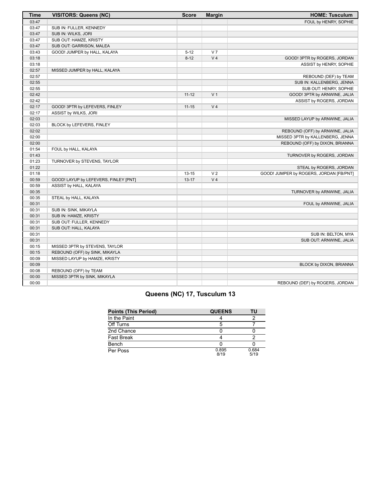| <b>Time</b> | <b>VISITORS: Queens (NC)</b>          | <b>Score</b> | <b>Margin</b>  | <b>HOME: Tusculum</b>                   |
|-------------|---------------------------------------|--------------|----------------|-----------------------------------------|
| 03:47       |                                       |              |                | FOUL by HENRY, SOPHIE                   |
| 03:47       | SUB IN: FULLER, KENNEDY               |              |                |                                         |
| 03:47       | SUB IN: WILKS, JORI                   |              |                |                                         |
| 03:47       | SUB OUT: HAMZE, KRISTY                |              |                |                                         |
| 03:47       | SUB OUT: GARRISON, MALEA              |              |                |                                         |
| 03:43       | GOOD! JUMPER by HALL, KALAYA          | $5 - 12$     | V <sub>7</sub> |                                         |
| 03:18       |                                       | $8 - 12$     | V <sub>4</sub> | GOOD! 3PTR by ROGERS, JORDAN            |
| 03:18       |                                       |              |                | ASSIST by HENRY, SOPHIE                 |
| 02:57       | MISSED JUMPER by HALL, KALAYA         |              |                |                                         |
| 02:57       |                                       |              |                | REBOUND (DEF) by TEAM                   |
| 02:55       |                                       |              |                | SUB IN: KALLENBERG, JENNA               |
| 02:55       |                                       |              |                | SUB OUT: HENRY, SOPHIE                  |
| 02:42       |                                       | $11 - 12$    | V <sub>1</sub> | GOOD! 3PTR by ARNWINE, JALIA            |
| 02:42       |                                       |              |                | ASSIST by ROGERS, JORDAN                |
| 02:17       | GOOD! 3PTR by LEFEVERS, FINLEY        | $11 - 15$    | V <sub>4</sub> |                                         |
| 02:17       | ASSIST by WILKS, JORI                 |              |                |                                         |
| 02:03       |                                       |              |                | MISSED LAYUP by ARNWINE, JALIA          |
| 02:03       | BLOCK by LEFEVERS, FINLEY             |              |                |                                         |
| 02:02       |                                       |              |                | REBOUND (OFF) by ARNWINE, JALIA         |
| 02:00       |                                       |              |                | MISSED 3PTR by KALLENBERG, JENNA        |
| 02:00       |                                       |              |                | REBOUND (OFF) by DIXON, BRIANNA         |
| 01:54       | FOUL by HALL, KALAYA                  |              |                |                                         |
| 01:43       |                                       |              |                | TURNOVER by ROGERS, JORDAN              |
| 01:23       | TURNOVER by STEVENS, TAYLOR           |              |                |                                         |
| 01:22       |                                       |              |                | STEAL by ROGERS, JORDAN                 |
| 01:18       |                                       | $13 - 15$    | V <sub>2</sub> | GOOD! JUMPER by ROGERS, JORDAN [FB/PNT] |
| 00:59       | GOOD! LAYUP by LEFEVERS, FINLEY [PNT] | $13 - 17$    | V <sub>4</sub> |                                         |
| 00:59       | ASSIST by HALL, KALAYA                |              |                |                                         |
| 00:35       |                                       |              |                | TURNOVER by ARNWINE, JALIA              |
| 00:35       | STEAL by HALL, KALAYA                 |              |                |                                         |
| 00:31       |                                       |              |                | FOUL by ARNWINE, JALIA                  |
| 00:31       | SUB IN: SINK, MIKAYLA                 |              |                |                                         |
| 00:31       | SUB IN: HAMZE, KRISTY                 |              |                |                                         |
| 00:31       | SUB OUT: FULLER, KENNEDY              |              |                |                                         |
| 00:31       | SUB OUT: HALL, KALAYA                 |              |                |                                         |
| 00:31       |                                       |              |                | SUB IN: BELTON, MYA                     |
| 00:31       |                                       |              |                | SUB OUT: ARNWINE, JALIA                 |
| 00:15       | MISSED 3PTR by STEVENS, TAYLOR        |              |                |                                         |
| 00:15       | REBOUND (OFF) by SINK, MIKAYLA        |              |                |                                         |
| 00:09       | MISSED LAYUP by HAMZE, KRISTY         |              |                |                                         |
| 00:09       |                                       |              |                | BLOCK by DIXON, BRIANNA                 |
| 00:08       | REBOUND (OFF) by TEAM                 |              |                |                                         |
| 00:00       | MISSED 3PTR by SINK, MIKAYLA          |              |                |                                         |
| 00:00       |                                       |              |                | REBOUND (DEF) by ROGERS, JORDAN         |

# **Queens (NC) 17, Tusculum 13**

| <b>Points (This Period)</b> | <b>QUEENS</b> | TU            |
|-----------------------------|---------------|---------------|
| In the Paint                |               |               |
| Off Turns                   |               |               |
| 2nd Chance                  |               |               |
| Fast Break                  |               |               |
| Bench                       |               |               |
| Per Poss                    | 0.895<br>8/19 | 0.684<br>5/19 |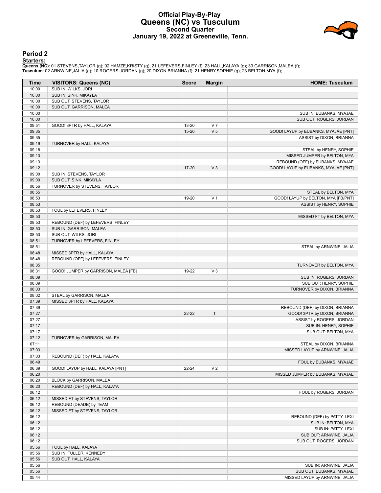# **Official Play-By-Play Queens (NC) vs Tusculum Second Quarter January 19, 2022 at Greeneville, Tenn.**



# **Period 2**

**Starters:**

**Queens (NC)**: 01 STEVENS,TAYLOR (g); 02 HAMZE,KRISTY (g); 21 LEFEVERS,FINLEY (f); 23 HALL,KALAYA (g); 33 GARRISON,MALEA (f);<br>**Tusculum**: 02 ARNWINE,JALIA (g); 10 ROGERS,JORDAN (g); 20 DIXON,BRIANNA (f); 21 HENRY,SOPHIE (g

| Time           | <b>VISITORS: Queens (NC)</b>         | <b>Score</b> | <b>Margin</b>  | <b>HOME: Tusculum</b>                                       |
|----------------|--------------------------------------|--------------|----------------|-------------------------------------------------------------|
| 10:00          | SUB IN: WILKS, JORI                  |              |                |                                                             |
| 10:00          | SUB IN: SINK, MIKAYLA                |              |                |                                                             |
| 10:00          | SUB OUT: STEVENS, TAYLOR             |              |                |                                                             |
| 10:00          | SUB OUT: GARRISON, MALEA             |              |                |                                                             |
| 10:00          |                                      |              |                | SUB IN: EUBANKS, MYAJAE                                     |
| 10:00          |                                      |              |                | SUB OUT: ROGERS, JORDAN                                     |
| 09:51          | GOOD! 3PTR by HALL, KALAYA           | 13-20        | V <sub>7</sub> |                                                             |
| 09:35          |                                      | $15 - 20$    | V <sub>5</sub> | GOOD! LAYUP by EUBANKS, MYAJAE [PNT]                        |
| 09:35          |                                      |              |                | ASSIST by DIXON, BRIANNA                                    |
| 09:19          | TURNOVER by HALL, KALAYA             |              |                |                                                             |
| 09:18          |                                      |              |                | STEAL by HENRY, SOPHIE                                      |
| 09:13          |                                      |              |                | MISSED JUMPER by BELTON, MYA                                |
| 09:13          |                                      |              |                | REBOUND (OFF) by EUBANKS, MYAJAE                            |
| 09:12          |                                      | 17-20        | V <sub>3</sub> | GOOD! LAYUP by EUBANKS, MYAJAE [PNT]                        |
| 09:00          | SUB IN: STEVENS, TAYLOR              |              |                |                                                             |
| 09:00          | SUB OUT: SINK, MIKAYLA               |              |                |                                                             |
| 08:56<br>08:55 | TURNOVER by STEVENS, TAYLOR          |              |                |                                                             |
| 08:53          |                                      | 19-20        | V <sub>1</sub> | STEAL by BELTON, MYA<br>GOOD! LAYUP by BELTON, MYA [FB/PNT] |
| 08:53          |                                      |              |                | ASSIST by HENRY, SOPHIE                                     |
| 08:53          | FOUL by LEFEVERS, FINLEY             |              |                |                                                             |
| 08:53          |                                      |              |                | MISSED FT by BELTON, MYA                                    |
| 08:53          | REBOUND (DEF) by LEFEVERS, FINLEY    |              |                |                                                             |
| 08:53          | SUB IN: GARRISON, MALEA              |              |                |                                                             |
| 08:53          | SUB OUT: WILKS, JORI                 |              |                |                                                             |
| 08:51          | TURNOVER by LEFEVERS, FINLEY         |              |                |                                                             |
| 08:51          |                                      |              |                | STEAL by ARNWINE, JALIA                                     |
| 08:48          | MISSED 3PTR by HALL, KALAYA          |              |                |                                                             |
| 08:48          | REBOUND (OFF) by LEFEVERS, FINLEY    |              |                |                                                             |
| 08:35          |                                      |              |                | TURNOVER by BELTON, MYA                                     |
| 08:31          | GOOD! JUMPER by GARRISON, MALEA [FB] | 19-22        | $V_3$          |                                                             |
| 08:09          |                                      |              |                | SUB IN: ROGERS, JORDAN                                      |
| 08:09          |                                      |              |                | SUB OUT: HENRY, SOPHIE                                      |
| 08:03          |                                      |              |                | TURNOVER by DIXON, BRIANNA                                  |
| 08:02          | STEAL by GARRISON, MALEA             |              |                |                                                             |
| 07:39          | MISSED 3PTR by HALL, KALAYA          |              |                |                                                             |
| 07:39          |                                      |              |                | REBOUND (DEF) by DIXON, BRIANNA                             |
| 07:27          |                                      | $22 - 22$    | $\top$         | GOOD! 3PTR by DIXON, BRIANNA                                |
| 07:27          |                                      |              |                | ASSIST by ROGERS, JORDAN                                    |
| 07:17          |                                      |              |                | SUB IN: HENRY, SOPHIE                                       |
| 07:17          |                                      |              |                | SUB OUT: BELTON, MYA                                        |
| 07:12          | TURNOVER by GARRISON, MALEA          |              |                |                                                             |
| 07:11          |                                      |              |                | STEAL by DIXON, BRIANNA                                     |
| 07:03          |                                      |              |                | MISSED LAYUP by ARNWINE, JALIA                              |
| 07:03          | REBOUND (DEF) by HALL, KALAYA        |              |                | FOUL by EUBANKS, MYAJAE                                     |
| 06:49<br>06:39 | GOOD! LAYUP by HALL, KALAYA [PNT]    | $22 - 24$    | V <sub>2</sub> |                                                             |
| 06:20          |                                      |              |                | MISSED JUMPER by EUBANKS, MYAJAE                            |
| 06:20          | BLOCK by GARRISON, MALEA             |              |                |                                                             |
| 06:20          | REBOUND (DEF) by HALL, KALAYA        |              |                |                                                             |
| 06:12          |                                      |              |                | FOUL by ROGERS, JORDAN                                      |
| 06:12          | MISSED FT by STEVENS, TAYLOR         |              |                |                                                             |
| 06:12          | REBOUND (DEADB) by TEAM              |              |                |                                                             |
| 06:12          | MISSED FT by STEVENS, TAYLOR         |              |                |                                                             |
| 06:12          |                                      |              |                | REBOUND (DEF) by PATTY, LEXI                                |
| 06:12          |                                      |              |                | SUB IN: BELTON, MYA                                         |
| 06:12          |                                      |              |                | SUB IN: PATTY, LEXI                                         |
| 06:12          |                                      |              |                | SUB OUT: ARNWINE, JALIA                                     |
| 06:12          |                                      |              |                | SUB OUT: ROGERS, JORDAN                                     |
| 05:56          | FOUL by HALL, KALAYA                 |              |                |                                                             |
| 05:56          | SUB IN: FULLER, KENNEDY              |              |                |                                                             |
| 05:56          | SUB OUT: HALL, KALAYA                |              |                |                                                             |
| 05:56          |                                      |              |                | SUB IN: ARNWINE, JALIA                                      |
| 05:56          |                                      |              |                | SUB OUT: EUBANKS, MYAJAE                                    |
| 05:44          |                                      |              |                | MISSED LAYUP by ARNWINE, JALIA                              |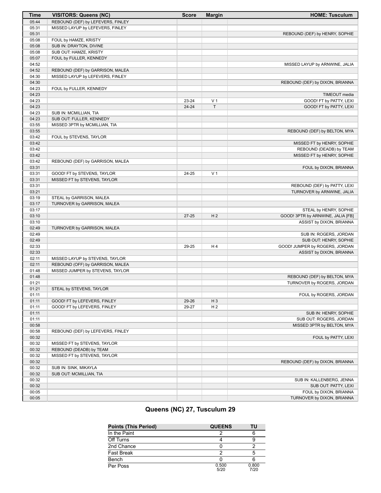| <b>Time</b>    | <b>VISITORS: Queens (NC)</b>                       | <b>Score</b> | <b>Margin</b>  | <b>HOME: Tusculum</b>                                      |
|----------------|----------------------------------------------------|--------------|----------------|------------------------------------------------------------|
| 05:44          | REBOUND (DEF) by LEFEVERS, FINLEY                  |              |                |                                                            |
| 05:31          | MISSED LAYUP by LEFEVERS, FINLEY                   |              |                |                                                            |
| 05:31          |                                                    |              |                | REBOUND (DEF) by HENRY, SOPHIE                             |
| 05:08          | FOUL by HAMZE, KRISTY                              |              |                |                                                            |
| 05:08          | SUB IN: DRAYTON, DIVINE                            |              |                |                                                            |
| 05:08          | SUB OUT: HAMZE, KRISTY                             |              |                |                                                            |
| 05:07          | FOUL by FULLER, KENNEDY                            |              |                |                                                            |
| 04:52          |                                                    |              |                | MISSED LAYUP by ARNWINE, JALIA                             |
| 04:52          | REBOUND (DEF) by GARRISON, MALEA                   |              |                |                                                            |
| 04:30          | MISSED LAYUP by LEFEVERS, FINLEY                   |              |                |                                                            |
| 04:30          |                                                    |              |                | REBOUND (DEF) by DIXON, BRIANNA                            |
| 04:23          | FOUL by FULLER, KENNEDY                            |              |                |                                                            |
| 04:23          |                                                    |              |                | TIMEOUT media                                              |
| 04:23          |                                                    | 23-24        | V <sub>1</sub> | GOOD! FT by PATTY, LEXI                                    |
| 04:23          |                                                    | $24 - 24$    | $\top$         | GOOD! FT by PATTY, LEXI                                    |
| 04:23<br>04:23 | SUB IN: MCMILLIAN, TIA<br>SUB OUT: FULLER, KENNEDY |              |                |                                                            |
| 03:55          | MISSED 3PTR by MCMILLIAN, TIA                      |              |                |                                                            |
| 03:55          |                                                    |              |                | REBOUND (DEF) by BELTON, MYA                               |
| 03:42          | FOUL by STEVENS, TAYLOR                            |              |                |                                                            |
| 03:42          |                                                    |              |                | MISSED FT by HENRY, SOPHIE                                 |
| 03:42          |                                                    |              |                | REBOUND (DEADB) by TEAM                                    |
| 03:42          |                                                    |              |                | MISSED FT by HENRY, SOPHIE                                 |
| 03:42          | REBOUND (DEF) by GARRISON, MALEA                   |              |                |                                                            |
| 03:31          |                                                    |              |                | FOUL by DIXON, BRIANNA                                     |
| 03:31          | GOOD! FT by STEVENS, TAYLOR                        | 24-25        | V <sub>1</sub> |                                                            |
| 03:31          | MISSED FT by STEVENS, TAYLOR                       |              |                |                                                            |
| 03:31          |                                                    |              |                | REBOUND (DEF) by PATTY, LEXI                               |
| 03:21          |                                                    |              |                | TURNOVER by ARNWINE, JALIA                                 |
| 03:19          | STEAL by GARRISON, MALEA                           |              |                |                                                            |
| 03:17          | TURNOVER by GARRISON, MALEA                        |              |                |                                                            |
| 03:17          |                                                    |              |                | STEAL by HENRY, SOPHIE                                     |
| 03:10          |                                                    | $27 - 25$    | H <sub>2</sub> | GOOD! 3PTR by ARNWINE, JALIA [FB]                          |
| 03:10          |                                                    |              |                | ASSIST by DIXON, BRIANNA                                   |
| 02:49          | TURNOVER by GARRISON, MALEA                        |              |                |                                                            |
| 02:49          |                                                    |              |                | SUB IN: ROGERS, JORDAN                                     |
| 02:49          |                                                    |              |                | SUB OUT: HENRY, SOPHIE                                     |
| 02:33          |                                                    | 29-25        | H 4            | GOOD! JUMPER by ROGERS, JORDAN                             |
| 02:33          |                                                    |              |                | ASSIST by DIXON, BRIANNA                                   |
| 02:11          | MISSED LAYUP by STEVENS, TAYLOR                    |              |                |                                                            |
| 02:11          | REBOUND (OFF) by GARRISON, MALEA                   |              |                |                                                            |
| 01:48<br>01:48 | MISSED JUMPER by STEVENS, TAYLOR                   |              |                |                                                            |
| 01:21          |                                                    |              |                | REBOUND (DEF) by BELTON, MYA<br>TURNOVER by ROGERS, JORDAN |
| 01:21          |                                                    |              |                |                                                            |
| 01:11          | STEAL by STEVENS, TAYLOR                           |              |                | FOUL by ROGERS, JORDAN                                     |
| 01:11          | GOOD! FT by LEFEVERS, FINLEY                       | 29-26        | $H_3$          |                                                            |
| 01:11          | GOOD! FT by LEFEVERS, FINLEY                       | 29-27        | H <sub>2</sub> |                                                            |
| 01:11          |                                                    |              |                | SUB IN: HENRY, SOPHIE                                      |
| 01:11          |                                                    |              |                | SUB OUT: ROGERS, JORDAN                                    |
| 00:58          |                                                    |              |                | MISSED 3PTR by BELTON, MYA                                 |
| 00:58          | REBOUND (DEF) by LEFEVERS, FINLEY                  |              |                |                                                            |
| 00:32          |                                                    |              |                | FOUL by PATTY, LEXI                                        |
| 00:32          | MISSED FT by STEVENS, TAYLOR                       |              |                |                                                            |
| 00:32          | REBOUND (DEADB) by TEAM                            |              |                |                                                            |
| 00:32          | MISSED FT by STEVENS, TAYLOR                       |              |                |                                                            |
| 00:32          |                                                    |              |                | REBOUND (DEF) by DIXON, BRIANNA                            |
| 00:32          | SUB IN: SINK, MIKAYLA                              |              |                |                                                            |
| 00:32          | SUB OUT: MCMILLIAN, TIA                            |              |                |                                                            |
| 00:32          |                                                    |              |                | SUB IN: KALLENBERG, JENNA                                  |
| 00:32          |                                                    |              |                | SUB OUT: PATTY, LEXI                                       |
| 00:05          |                                                    |              |                | FOUL by DIXON, BRIANNA                                     |
| 00:05          |                                                    |              |                | TURNOVER by DIXON, BRIANNA                                 |

# **Queens (NC) 27, Tusculum 29**

| <b>Points (This Period)</b> | <b>QUEENS</b> | ΤU            |
|-----------------------------|---------------|---------------|
| In the Paint                |               |               |
| Off Turns                   |               |               |
| 2nd Chance                  |               |               |
| <b>Fast Break</b>           |               | 5             |
| Bench                       |               |               |
| Per Poss                    | 0.500<br>5/20 | 0.800<br>7/20 |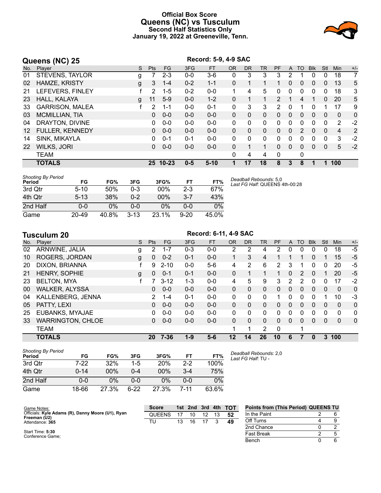# **Official Box Score Queens (NC) vs Tusculum Second Half Statistics Only January 19, 2022 at Greeneville, Tenn.**



| Queens (NC) 25 |                        |   | Record: 5-9, 4-9 SAC |          |         |           |              |           |              |                |              |                |              |              |                |              |
|----------------|------------------------|---|----------------------|----------|---------|-----------|--------------|-----------|--------------|----------------|--------------|----------------|--------------|--------------|----------------|--------------|
| No.            | Player                 | S | <b>Pts</b>           | FG       | 3FG     | <b>FT</b> | <b>OR</b>    | <b>DR</b> | <b>TR</b>    | PF             | $\mathsf{A}$ | <b>TO</b>      | <b>Blk</b>   | Stl          | Min            | $+/-$        |
| 01             | <b>STEVENS, TAYLOR</b> | g |                      | $2 - 3$  | $0 - 0$ | $3-6$     | 0            | 3         | 3            | 3              | 2            |                | 0            | $\Omega$     | 18             | 7            |
| 02             | HAMZE, KRISTY          | g | 3                    | $1 - 4$  | $0 - 2$ | $1 - 1$   | 0            |           |              |                | 0            | 0              | $\mathbf{0}$ | 0            | 13             | 5            |
| 21             | LEFEVERS, FINLEY       |   | 2                    | $1 - 5$  | $0 - 2$ | $0 - 0$   | 1            | 4         | 5            | 0              | 0            | 0              | 0            | 0            | 18             | 3            |
| 23             | HALL, KALAYA           | g | 11                   | $5-9$    | $0 - 0$ | $1 - 2$   | 0            | 1         |              | $\mathcal{P}$  | 1            | 4              |              | $\Omega$     | 20             | 5            |
| 33             | <b>GARRISON, MALEA</b> |   | 2                    | $1 - 1$  | $0 - 0$ | $0 - 1$   | $\mathbf{0}$ | 3         | 3            | $\overline{2}$ | 0            | 1              | 0            |              | 17             | 9            |
| 03             | <b>MCMILLIAN, TIA</b>  |   | 0                    | $0 - 0$  | $0 - 0$ | $0 - 0$   | 0            | 0         | $\mathbf{0}$ | 0              | $\Omega$     | 0              | $\mathbf{0}$ | $\Omega$     | $\mathbf{0}$   | $\mathbf{0}$ |
| 04             | DRAYTON, DIVINE        |   | 0                    | $0 - 0$  | $0 - 0$ | $0 - 0$   | $\Omega$     | 0         | $\Omega$     | 0              | 0            | 0              | $\Omega$     | 0            | 2              | $-2$         |
| 12             | <b>FULLER, KENNEDY</b> |   | 0                    | $0 - 0$  | $0 - 0$ | $0 - 0$   | 0            | 0         | $\mathbf{0}$ | $\Omega$       | $\mathbf{0}$ | $\overline{2}$ | $\Omega$     | $\mathbf{0}$ | $\overline{4}$ | 2            |
| 14             | SINK, MIKAYLA          |   | 0                    | $0 - 1$  | $0 - 1$ | $0 - 0$   | 0            | 0         | $\Omega$     | $\Omega$       | 0            | 0              | $\Omega$     | $\Omega$     | 3              | $-2$         |
| 22             | <b>WILKS, JORI</b>     |   | 0                    | $0 - 0$  | $0 - 0$ | $0 - 0$   | $\Omega$     |           |              | $\Omega$       | $\Omega$     | 0              | $\Omega$     | $\mathbf{0}$ | 5              | $-2$         |
|                | <b>TEAM</b>            |   |                      |          |         |           | 0            | 4         | 4            | $\mathbf 0$    |              | 0              |              |              |                |              |
|                | <b>TOTALS</b>          |   |                      | 25 10-23 | $0 - 5$ | $5 - 10$  | 1            | 17        | 18           | 8              | 3            | 8              | 1            |              | 100            |              |

| <b>Shooting By Period</b><br>Period | FG       | FG%   | 3FG      | 3FG%   | FТ      | FT%   |
|-------------------------------------|----------|-------|----------|--------|---------|-------|
| 3rd Otr                             | $5 - 10$ | 50%   | 0-3      | $00\%$ | $2 - 3$ | 67%   |
| 4th Otr                             | $5 - 13$ | 38%   | በ-2      | 00%    | $3 - 7$ | 43%   |
| 2nd Half                            | 0-0      | 0%    | ი-ი      | 0%     | $0 - 0$ | $0\%$ |
| Game                                | 20-49    | 40.8% | $3 - 13$ | 23.1%  | 9-20    | 45.0% |

*Deadball Rebounds:* 5,0 *Last FG Half:* QUEENS 4th-00:28

|     | <b>Tusculum 20</b>       | Record: 6-11, 4-9 SAC |                |           |         |           |              |              |           |    |              |          |             |              |              |          |
|-----|--------------------------|-----------------------|----------------|-----------|---------|-----------|--------------|--------------|-----------|----|--------------|----------|-------------|--------------|--------------|----------|
| No. | Player                   | S                     | <b>Pts</b>     | <b>FG</b> | 3FG     | <b>FT</b> | <b>OR</b>    | <b>DR</b>    | <b>TR</b> | PF | A            | TO       | <b>B</b> lk | Stl          | Min          | $+/-$    |
| 02  | ARNWINE, JALIA           | g                     | $\overline{2}$ | $1 - 7$   | $0 - 3$ | $0-0$     | 2            | 2            | 4         | 2  | 0            | $\Omega$ | $\Omega$    | 0            | 18           | -5       |
| 10  | <b>ROGERS, JORDAN</b>    | g                     | $\mathbf{0}$   | $0 - 2$   | $0 - 1$ | $0 - 0$   |              | 3            | 4         |    |              |          | 0           | 1            | 15           | $-5$     |
| 20  | DIXON, BRIANNA           |                       | 9              | $2 - 10$  | $0 - 0$ | $5-6$     | 4            | 2            | 6         | 2  | 3            |          | 0           | 0            | 20           | $-5$     |
| 21  | <b>HENRY, SOPHIE</b>     | g                     | $\Omega$       | $0 - 1$   | $0 - 1$ | $0 - 0$   | $\mathbf{0}$ | 1            | 1         |    | $\Omega$     | 2        | $\Omega$    | 1            | 20           | $-5$     |
| 23  | <b>BELTON, MYA</b>       |                       |                | $3 - 12$  | $1 - 3$ | $0-0$     | 4            | 5            | 9         | 3  | 2            | 2        | $\Omega$    | 0            | 17           | $-2$     |
| 00  | <b>WALKER, ALYSSA</b>    |                       | 0              | $0 - 0$   | $0 - 0$ | $0 - 0$   | $\Omega$     | 0            | $\Omega$  | 0  | $\Omega$     | $\Omega$ | $\Omega$    | $\mathbf{0}$ | $\mathbf{0}$ | 0        |
| 04  | KALLENBERG, JENNA        |                       | 2              | $1 - 4$   | $0 - 1$ | $0 - 0$   | $\Omega$     | $\mathbf{0}$ | 0         |    | $\Omega$     | 0        | 0           | 1            | 10           | $-3$     |
| 05  | PATTY, LEXI              |                       | 0              | $0 - 0$   | $0 - 0$ | $0-0$     | $\Omega$     | 0            | 0         | 0  | 0            | 0        | $\Omega$    | 0            | $\mathbf{0}$ | 0        |
| 25  | EUBANKS, MYAJAE          |                       | 0              | $0 - 0$   | $0 - 0$ | $0 - 0$   | $\Omega$     | $\Omega$     | 0         | 0  | $\mathbf{0}$ | $\Omega$ | 0           | $\Omega$     | 0            | 0        |
| 33  | <b>WARRINGTON, CHLOE</b> |                       | 0              | $0 - 0$   | $0 - 0$ | $0-0$     | $\Omega$     | $\Omega$     | $\Omega$  | 0  | $\Omega$     | $\Omega$ | $\Omega$    | $\mathbf{0}$ | $\Omega$     | $\Omega$ |
|     | <b>TEAM</b>              |                       |                |           |         |           | 1            | 1            | 2         | 0  |              | 1        |             |              |              |          |
|     | <b>TOTALS</b>            |                       |                | 20 7-36   | $1 - 9$ | $5 - 6$   | 12           | 14           | 26        | 10 | 6            | 7        | 0           | 3            | 100          |          |
|     |                          |                       |                |           |         |           |              |              |           |    |              |          |             |              |              |          |

| <b>Shooting By Period</b><br>Period | FG       | FG%    | 3FG     | 3FG%   | FT    | FT%   |
|-------------------------------------|----------|--------|---------|--------|-------|-------|
| 3rd Qtr                             | 7-22     | 32%    | $1-5$   | 20%    | $2-2$ | 100%  |
| 4th Qtr                             | $0 - 14$ | $00\%$ | $0 - 4$ | $00\%$ | $3-4$ | 75%   |
| 2nd Half                            | $0 - 0$  | 0%     | ი-ი     | 0%     | 0-0   | 0%    |
| Game                                | 18-66    | 27.3%  | հ-22    | 27.3%  | 7-11  | 63.6% |

*Deadball Rebounds:* 2,0 *Last FG Half:* TU -

Bench 0 6

| Game Notes:                                       | <b>Score</b>  |    | 1st 2nd | 3rd | $-4th$ | TOT | <b>Points from (This Period) QUEENS TU</b> |  |
|---------------------------------------------------|---------------|----|---------|-----|--------|-----|--------------------------------------------|--|
| Officials: Kyle Adams (R), Danny Moore (U1), Ryan | <b>QUEENS</b> |    | 10      |     |        | 52  | In the Paint                               |  |
| Freeman (U2)<br>Attendance: 365                   | TU.           | 13 | 16      |     |        | 49  | Off Turns                                  |  |
|                                                   |               |    |         |     |        |     | 2nd Chance                                 |  |
| Start Time: 5:30<br>Conference Game:              |               |    |         |     |        |     | <b>Fast Break</b>                          |  |

Start Time: **5:30** Conference Game;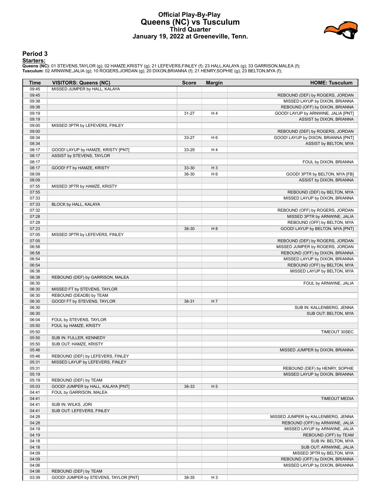# **Official Play-By-Play Queens (NC) vs Tusculum Third Quarter January 19, 2022 at Greeneville, Tenn.**



# **Period 3**

<mark>Starters:</mark><br>Queens (NC): 01 STEVENS,TAYLOR (g); 02 HAMZE,KRISTY (g); 21 LEFEVERS,FINLEY (f); 23 HALL,KALAYA (g); 33 GARRISON,MALEA (f);<br>Tusculum: 02 ARNWINE,JALIA (g); 10 ROGERS,JORDAN (g); 20 DIXON,BRIANNA (f); 21 HENRY,S

| Time  | <b>VISITORS: Queens (NC)</b>          | <b>Score</b> | <b>Margin</b>  | <b>HOME: Tusculum</b>               |
|-------|---------------------------------------|--------------|----------------|-------------------------------------|
| 09:45 | MISSED JUMPER by HALL, KALAYA         |              |                |                                     |
| 09:45 |                                       |              |                | REBOUND (DEF) by ROGERS, JORDAN     |
| 09:38 |                                       |              |                | MISSED LAYUP by DIXON, BRIANNA      |
| 09:38 |                                       |              |                | REBOUND (OFF) by DIXON, BRIANNA     |
| 09:19 |                                       | $31 - 27$    | H 4            | GOOD! LAYUP by ARNWINE, JALIA [PNT] |
| 09:19 |                                       |              |                | ASSIST by DIXON, BRIANNA            |
| 09:00 | MISSED 3PTR by LEFEVERS, FINLEY       |              |                |                                     |
| 09:00 |                                       |              |                | REBOUND (DEF) by ROGERS, JORDAN     |
| 08:34 |                                       | 33-27        | H <sub>6</sub> | GOOD! LAYUP by DIXON, BRIANNA [PNT] |
| 08:34 |                                       |              |                | ASSIST by BELTON, MYA               |
| 08:17 | GOOD! LAYUP by HAMZE, KRISTY [PNT]    | 33-29        | H4             |                                     |
| 08:17 | ASSIST by STEVENS, TAYLOR             |              |                |                                     |
| 08:17 |                                       |              |                | FOUL by DIXON, BRIANNA              |
| 08:17 | GOOD! FT by HAMZE, KRISTY             | 33-30        | $H_3$          |                                     |
| 08:09 |                                       | 36-30        | H <sub>6</sub> | GOOD! 3PTR by BELTON, MYA [FB]      |
| 08:09 |                                       |              |                | ASSIST by DIXON, BRIANNA            |
| 07:55 | MISSED 3PTR by HAMZE, KRISTY          |              |                |                                     |
| 07:55 |                                       |              |                | REBOUND (DEF) by BELTON, MYA        |
| 07:33 |                                       |              |                | MISSED LAYUP by DIXON, BRIANNA      |
| 07:33 | BLOCK by HALL, KALAYA                 |              |                |                                     |
| 07:32 |                                       |              |                | REBOUND (OFF) by ROGERS, JORDAN     |
| 07:28 |                                       |              |                | MISSED 3PTR by ARNWINE, JALIA       |
| 07:28 |                                       |              |                | REBOUND (OFF) by BELTON, MYA        |
| 07:23 |                                       | 38-30        | H 8            | GOOD! LAYUP by BELTON, MYA [PNT]    |
| 07:05 | MISSED 3PTR by LEFEVERS, FINLEY       |              |                |                                     |
| 07:05 |                                       |              |                | REBOUND (DEF) by ROGERS, JORDAN     |
| 06:58 |                                       |              |                | MISSED JUMPER by ROGERS, JORDAN     |
| 06:58 |                                       |              |                | REBOUND (OFF) by DIXON, BRIANNA     |
| 06:54 |                                       |              |                | MISSED LAYUP by DIXON, BRIANNA      |
| 06:54 |                                       |              |                | REBOUND (OFF) by BELTON, MYA        |
| 06:38 |                                       |              |                | MISSED LAYUP by BELTON, MYA         |
| 06:38 | REBOUND (DEF) by GARRISON, MALEA      |              |                |                                     |
| 06:30 |                                       |              |                | FOUL by ARNWINE, JALIA              |
| 06:30 | MISSED FT by STEVENS, TAYLOR          |              |                |                                     |
| 06:30 | REBOUND (DEADB) by TEAM               |              |                |                                     |
| 06:30 | GOOD! FT by STEVENS, TAYLOR           | 38-31        | H 7            |                                     |
| 06:30 |                                       |              |                | SUB IN: KALLENBERG, JENNA           |
| 06:30 |                                       |              |                | SUB OUT: BELTON, MYA                |
| 06:04 | FOUL by STEVENS, TAYLOR               |              |                |                                     |
| 05:50 | FOUL by HAMZE, KRISTY                 |              |                |                                     |
| 05:50 |                                       |              |                | <b>TIMEOUT 30SEC</b>                |
| 05:50 | SUB IN: FULLER, KENNEDY               |              |                |                                     |
| 05:50 | SUB OUT: HAMZE, KRISTY                |              |                |                                     |
| 05:46 |                                       |              |                | MISSED JUMPER by DIXON, BRIANNA     |
| 05:46 | REBOUND (DEF) by LEFEVERS, FINLEY     |              |                |                                     |
| 05:31 | MISSED LAYUP by LEFEVERS, FINLEY      |              |                |                                     |
| 05:31 |                                       |              |                | REBOUND (DEF) by HENRY, SOPHIE      |
| 05:19 |                                       |              |                | MISSED LAYUP by DIXON, BRIANNA      |
| 05:19 | REBOUND (DEF) by TEAM                 |              |                |                                     |
| 05:03 | GOOD! JUMPER by HALL, KALAYA [PNT]    | 38-33        | H <sub>5</sub> |                                     |
| 04:41 | FOUL by GARRISON, MALEA               |              |                |                                     |
| 04:41 |                                       |              |                | <b>TIMEOUT MEDIA</b>                |
| 04:41 | SUB IN: WILKS, JORI                   |              |                |                                     |
| 04:41 | SUB OUT: LEFEVERS, FINLEY             |              |                |                                     |
| 04:28 |                                       |              |                | MISSED JUMPER by KALLENBERG, JENNA  |
| 04:28 |                                       |              |                | REBOUND (OFF) by ARNWINE, JALIA     |
| 04:19 |                                       |              |                | MISSED LAYUP by ARNWINE, JALIA      |
| 04:19 |                                       |              |                | REBOUND (OFF) by TEAM               |
| 04:18 |                                       |              |                | SUB IN: BELTON, MYA                 |
| 04:18 |                                       |              |                | SUB OUT: ARNWINE, JALIA             |
| 04:09 |                                       |              |                | MISSED 3PTR by BELTON, MYA          |
| 04:09 |                                       |              |                | REBOUND (OFF) by DIXON, BRIANNA     |
| 04:06 |                                       |              |                | MISSED LAYUP by DIXON, BRIANNA      |
| 04:06 | REBOUND (DEF) by TEAM                 |              |                |                                     |
| 03:39 | GOOD! JUMPER by STEVENS, TAYLOR [PNT] | 38-35        | H <sub>3</sub> |                                     |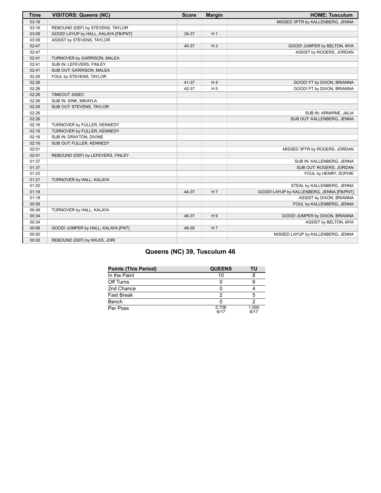| <b>Time</b> | <b>VISITORS: Queens (NC)</b>         | <b>Score</b> | <b>Margin</b>  | <b>HOME: Tusculum</b>                     |
|-------------|--------------------------------------|--------------|----------------|-------------------------------------------|
| 03:16       |                                      |              |                | MISSED 3PTR by KALLENBERG, JENNA          |
| 03:16       | REBOUND (DEF) by STEVENS, TAYLOR     |              |                |                                           |
| 03:09       | GOOD! LAYUP by HALL, KALAYA [FB/PNT] | 38-37        | H <sub>1</sub> |                                           |
| 03:09       | ASSIST by STEVENS, TAYLOR            |              |                |                                           |
| 02:47       |                                      | 40-37        | $H_3$          | GOOD! JUMPER by BELTON, MYA               |
| 02:47       |                                      |              |                | ASSIST by ROGERS, JORDAN                  |
| 02:41       | TURNOVER by GARRISON, MALEA          |              |                |                                           |
| 02:41       | SUB IN: LEFEVERS, FINLEY             |              |                |                                           |
| 02:41       | SUB OUT: GARRISON, MALEA             |              |                |                                           |
| 02:26       | FOUL by STEVENS, TAYLOR              |              |                |                                           |
| 02:26       |                                      | 41-37        | H4             | GOOD! FT by DIXON, BRIANNA                |
| 02:26       |                                      | 42-37        | H <sub>5</sub> | GOOD! FT by DIXON, BRIANNA                |
| 02:26       | TIMEOUT 30SEC                        |              |                |                                           |
| 02:26       | SUB IN: SINK, MIKAYLA                |              |                |                                           |
| 02:26       | SUB OUT: STEVENS, TAYLOR             |              |                |                                           |
| 02:26       |                                      |              |                | SUB IN: ARNWINE, JALIA                    |
| 02:26       |                                      |              |                | SUB OUT: KALLENBERG, JENNA                |
| 02:16       | TURNOVER by FULLER, KENNEDY          |              |                |                                           |
| 02:16       | TURNOVER by FULLER, KENNEDY          |              |                |                                           |
| 02:16       | SUB IN: DRAYTON, DIVINE              |              |                |                                           |
| 02:16       | SUB OUT: FULLER, KENNEDY             |              |                |                                           |
| 02:01       |                                      |              |                | MISSED 3PTR by ROGERS, JORDAN             |
| 02:01       | REBOUND (DEF) by LEFEVERS, FINLEY    |              |                |                                           |
| 01:37       |                                      |              |                | SUB IN: KALLENBERG, JENNA                 |
| 01:37       |                                      |              |                | SUB OUT: ROGERS, JORDAN                   |
| 01:23       |                                      |              |                | FOUL by HENRY, SOPHIE                     |
| 01:21       | TURNOVER by HALL, KALAYA             |              |                |                                           |
| 01:20       |                                      |              |                | STEAL by KALLENBERG, JENNA                |
| 01:18       |                                      | 44-37        | H 7            | GOOD! LAYUP by KALLENBERG, JENNA [FB/PNT] |
| 01:18       |                                      |              |                | ASSIST by DIXON, BRIANNA                  |
| 00:59       |                                      |              |                | FOUL by KALLENBERG, JENNA                 |
| 00:49       | TURNOVER by HALL, KALAYA             |              |                |                                           |
| 00:34       |                                      | 46-37        | H9             | GOOD! JUMPER by DIXON, BRIANNA            |
| 00:34       |                                      |              |                | ASSIST by BELTON, MYA                     |
| 00:06       | GOOD! JUMPER by HALL, KALAYA [PNT]   | 46-39        | H 7            |                                           |
| 00:00       |                                      |              |                | MISSED LAYUP by KALLENBERG, JENNA         |
| 00:00       | REBOUND (DEF) by WILKS, JORI         |              |                |                                           |

# **Queens (NC) 39, Tusculum 46**

| <b>Points (This Period)</b> | <b>QUEENS</b> | τU            |
|-----------------------------|---------------|---------------|
| In the Paint                |               |               |
| Off Turns                   |               |               |
| 2nd Chance                  |               |               |
| <b>Fast Break</b>           |               |               |
| Bench                       |               |               |
| Per Poss                    | 0.706<br>6/17 | 1.000<br>R/17 |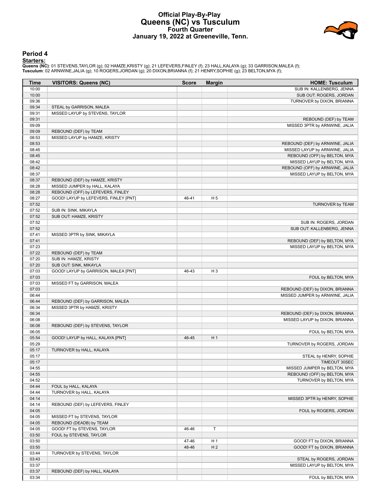# **Official Play-By-Play Queens (NC) vs Tusculum Fourth Quarter January 19, 2022 at Greeneville, Tenn.**



## **Period 4**

<mark>Starters:</mark><br>Queens (NC): 01 STEVENS,TAYLOR (g); 02 HAMZE,KRISTY (g); 21 LEFEVERS,FINLEY (f); 23 HALL,KALAYA (g); 33 GARRISON,MALEA (f);<br>Tusculum: 02 ARNWINE,JALIA (g); 10 ROGERS,JORDAN (g); 20 DIXON,BRIANNA (f); 21 HENRY,S

| <b>Time</b>    | <b>VISITORS: Queens (NC)</b>          | <b>Score</b> | <b>Margin</b>  | <b>HOME: Tusculum</b>                                       |
|----------------|---------------------------------------|--------------|----------------|-------------------------------------------------------------|
| 10:00          |                                       |              |                | SUB IN: KALLENBERG, JENNA                                   |
| 10:00          |                                       |              |                | SUB OUT: ROGERS, JORDAN                                     |
| 09:36          |                                       |              |                | TURNOVER by DIXON, BRIANNA                                  |
| 09:34          | STEAL by GARRISON, MALEA              |              |                |                                                             |
| 09:31          | MISSED LAYUP by STEVENS, TAYLOR       |              |                |                                                             |
| 09:31          |                                       |              |                | REBOUND (DEF) by TEAM                                       |
| 09:09          |                                       |              |                | MISSED 3PTR by ARNWINE, JALIA                               |
| 09:09          | REBOUND (DEF) by TEAM                 |              |                |                                                             |
| 08:53          | MISSED LAYUP by HAMZE, KRISTY         |              |                |                                                             |
| 08:53          |                                       |              |                | REBOUND (DEF) by ARNWINE, JALIA                             |
| 08:45          |                                       |              |                | MISSED LAYUP by ARNWINE, JALIA                              |
| 08:45          |                                       |              |                | REBOUND (OFF) by BELTON, MYA                                |
| 08:42          |                                       |              |                | MISSED LAYUP by BELTON, MYA                                 |
| 08:42          |                                       |              |                | REBOUND (OFF) by ARNWINE, JALIA                             |
| 08:37          |                                       |              |                | MISSED LAYUP by BELTON, MYA                                 |
| 08:37          | REBOUND (DEF) by HAMZE, KRISTY        |              |                |                                                             |
| 08:28          | MISSED JUMPER by HALL, KALAYA         |              |                |                                                             |
| 08:28          | REBOUND (OFF) by LEFEVERS, FINLEY     |              |                |                                                             |
| 08:27          | GOOD! LAYUP by LEFEVERS, FINLEY [PNT] | 46-41        | H <sub>5</sub> |                                                             |
| 07:52          |                                       |              |                | TURNOVER by TEAM                                            |
| 07:52          | SUB IN: SINK, MIKAYLA                 |              |                |                                                             |
| 07:52          | SUB OUT: HAMZE, KRISTY                |              |                |                                                             |
| 07:52<br>07:52 |                                       |              |                | SUB IN: ROGERS, JORDAN<br>SUB OUT: KALLENBERG, JENNA        |
|                |                                       |              |                |                                                             |
| 07:41<br>07:41 | MISSED 3PTR by SINK, MIKAYLA          |              |                |                                                             |
| 07:23          |                                       |              |                | REBOUND (DEF) by BELTON, MYA<br>MISSED LAYUP by BELTON, MYA |
| 07:22          | REBOUND (DEF) by TEAM                 |              |                |                                                             |
| 07:20          | SUB IN: HAMZE, KRISTY                 |              |                |                                                             |
| 07:20          | SUB OUT: SINK, MIKAYLA                |              |                |                                                             |
| 07:03          | GOOD! LAYUP by GARRISON, MALEA [PNT]  | 46-43        | H <sub>3</sub> |                                                             |
| 07:03          |                                       |              |                | FOUL by BELTON, MYA                                         |
| 07:03          | MISSED FT by GARRISON, MALEA          |              |                |                                                             |
| 07:03          |                                       |              |                | REBOUND (DEF) by DIXON, BRIANNA                             |
| 06:44          |                                       |              |                | MISSED JUMPER by ARNWINE, JALIA                             |
| 06:44          | REBOUND (DEF) by GARRISON, MALEA      |              |                |                                                             |
| 06:34          | MISSED 3PTR by HAMZE, KRISTY          |              |                |                                                             |
| 06:34          |                                       |              |                | REBOUND (DEF) by DIXON, BRIANNA                             |
| 06:08          |                                       |              |                | MISSED LAYUP by DIXON, BRIANNA                              |
| 06:08          | REBOUND (DEF) by STEVENS, TAYLOR      |              |                |                                                             |
| 06:05          |                                       |              |                | FOUL by BELTON, MYA                                         |
| 05:54          | GOOD! LAYUP by HALL, KALAYA [PNT]     | 46-45        | H <sub>1</sub> |                                                             |
| 05:29          |                                       |              |                | TURNOVER by ROGERS, JORDAN                                  |
| 05:17          | TURNOVER by HALL, KALAYA              |              |                |                                                             |
| 05:17          |                                       |              |                | STEAL by HENRY, SOPHIE                                      |
| 05:17          |                                       |              |                | TIMEOUT 30SEC                                               |
| 04:55          |                                       |              |                | MISSED JUMPER by BELTON, MYA                                |
| 04:55          |                                       |              |                | REBOUND (OFF) by BELTON, MYA                                |
| 04:52          |                                       |              |                | TURNOVER by BELTON, MYA                                     |
| 04:44          | FOUL by HALL, KALAYA                  |              |                |                                                             |
| 04:44          | TURNOVER by HALL, KALAYA              |              |                |                                                             |
| 04:14          |                                       |              |                | MISSED 3PTR by HENRY, SOPHIE                                |
| 04:14          | REBOUND (DEF) by LEFEVERS, FINLEY     |              |                |                                                             |
| 04:05          |                                       |              |                | FOUL by ROGERS, JORDAN                                      |
| 04:05          | MISSED FT by STEVENS, TAYLOR          |              |                |                                                             |
| 04:05          | REBOUND (DEADB) by TEAM               |              |                |                                                             |
| 04:05          | GOOD! FT by STEVENS, TAYLOR           | 46-46        | $\top$         |                                                             |
| 03:50          | FOUL by STEVENS, TAYLOR               |              |                |                                                             |
| 03:50          |                                       | 47-46        | H <sub>1</sub> | GOOD! FT by DIXON, BRIANNA                                  |
| 03:50          |                                       | 48-46        | H <sub>2</sub> | GOOD! FT by DIXON, BRIANNA                                  |
| 03:44          | TURNOVER by STEVENS, TAYLOR           |              |                |                                                             |
| 03:43          |                                       |              |                | STEAL by ROGERS, JORDAN                                     |
| 03:37          |                                       |              |                | MISSED LAYUP by BELTON, MYA                                 |
| 03:37          | REBOUND (DEF) by HALL, KALAYA         |              |                |                                                             |
| 03:34          |                                       |              |                | FOUL by BELTON, MYA                                         |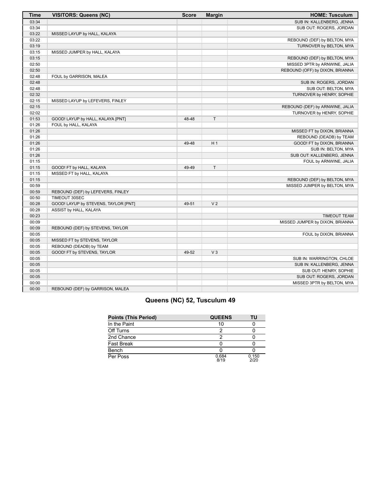| <b>Time</b> | <b>VISITORS: Queens (NC)</b>         | <b>Score</b> | <b>Margin</b>  | <b>HOME: Tusculum</b>           |
|-------------|--------------------------------------|--------------|----------------|---------------------------------|
| 03:34       |                                      |              |                | SUB IN: KALLENBERG, JENNA       |
| 03:34       |                                      |              |                | SUB OUT: ROGERS, JORDAN         |
| 03:22       | MISSED LAYUP by HALL, KALAYA         |              |                |                                 |
| 03:22       |                                      |              |                | REBOUND (DEF) by BELTON, MYA    |
| 03:19       |                                      |              |                | TURNOVER by BELTON, MYA         |
| 03:15       | MISSED JUMPER by HALL, KALAYA        |              |                |                                 |
| 03:15       |                                      |              |                | REBOUND (DEF) by BELTON, MYA    |
| 02:50       |                                      |              |                | MISSED 3PTR by ARNWINE, JALIA   |
| 02:50       |                                      |              |                | REBOUND (OFF) by DIXON, BRIANNA |
| 02:48       | FOUL by GARRISON, MALEA              |              |                |                                 |
| 02:48       |                                      |              |                | SUB IN: ROGERS, JORDAN          |
| 02:48       |                                      |              |                | SUB OUT: BELTON, MYA            |
| 02:32       |                                      |              |                | TURNOVER by HENRY, SOPHIE       |
| 02:15       | MISSED LAYUP by LEFEVERS, FINLEY     |              |                |                                 |
| 02:15       |                                      |              |                | REBOUND (DEF) by ARNWINE, JALIA |
| 02:02       |                                      |              |                | TURNOVER by HENRY, SOPHIE       |
| 01:53       | GOOD! LAYUP by HALL, KALAYA [PNT]    | 48-48        | T.             |                                 |
| 01:26       | FOUL by HALL, KALAYA                 |              |                |                                 |
| 01:26       |                                      |              |                | MISSED FT by DIXON, BRIANNA     |
| 01:26       |                                      |              |                | REBOUND (DEADB) by TEAM         |
| 01:26       |                                      | 49-48        | H <sub>1</sub> | GOOD! FT by DIXON, BRIANNA      |
| 01:26       |                                      |              |                | SUB IN: BELTON, MYA             |
| 01:26       |                                      |              |                | SUB OUT: KALLENBERG, JENNA      |
| 01:15       |                                      |              |                | FOUL by ARNWINE, JALIA          |
| 01:15       | GOOD! FT by HALL, KALAYA             | 49-49        | T              |                                 |
| 01:15       | MISSED FT by HALL, KALAYA            |              |                |                                 |
| 01:15       |                                      |              |                | REBOUND (DEF) by BELTON, MYA    |
| 00:59       |                                      |              |                | MISSED JUMPER by BELTON, MYA    |
| 00:59       | REBOUND (DEF) by LEFEVERS, FINLEY    |              |                |                                 |
| 00:50       | TIMEOUT 30SEC                        |              |                |                                 |
| 00:28       | GOOD! LAYUP by STEVENS, TAYLOR [PNT] | 49-51        | V <sub>2</sub> |                                 |
| 00:28       | ASSIST by HALL, KALAYA               |              |                |                                 |
| 00:23       |                                      |              |                | <b>TIMEOUT TEAM</b>             |
| 00:09       |                                      |              |                | MISSED JUMPER by DIXON, BRIANNA |
| 00:09       | REBOUND (DEF) by STEVENS, TAYLOR     |              |                |                                 |
| 00:05       |                                      |              |                | FOUL by DIXON, BRIANNA          |
| 00:05       | MISSED FT by STEVENS, TAYLOR         |              |                |                                 |
| 00:05       | REBOUND (DEADB) by TEAM              |              |                |                                 |
| 00:05       | GOOD! FT by STEVENS, TAYLOR          | 49-52        | $V_3$          |                                 |
| 00:05       |                                      |              |                | SUB IN: WARRINGTON, CHLOE       |
| 00:05       |                                      |              |                | SUB IN: KALLENBERG, JENNA       |
| 00:05       |                                      |              |                | SUB OUT: HENRY, SOPHIE          |
| 00:05       |                                      |              |                | SUB OUT: ROGERS, JORDAN         |
| 00:00       |                                      |              |                | MISSED 3PTR by BELTON, MYA      |
| 00:00       | REBOUND (DEF) by GARRISON, MALEA     |              |                |                                 |

# **Queens (NC) 52, Tusculum 49**

| <b>Points (This Period)</b> | <b>QUEENS</b> | ΤU            |
|-----------------------------|---------------|---------------|
| In the Paint                |               |               |
| Off Turns                   |               |               |
| 2nd Chance                  |               |               |
| Fast Break                  |               |               |
| Bench                       |               |               |
| Per Poss                    | 0.684<br>8/19 | 0.150<br>2/20 |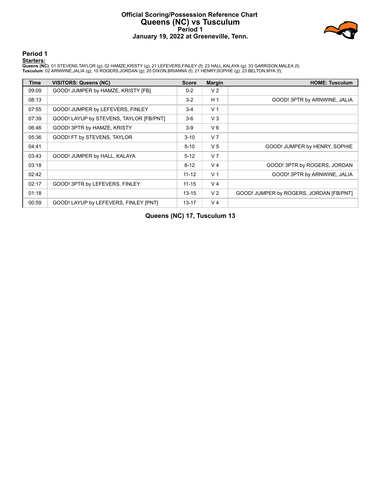# **Official Scoring/Possession Reference Chart Queens (NC) vs Tusculum Period 1 January 19, 2022 at Greeneville, Tenn.**



**Period 1**

### **Starters:**

**Queens (NC)**: 01 STEVENS,TAYLOR (g); 02 HAMZE,KRISTY (g); 21 LEFEVERS,FINLEY (f); 23 HALL,KALAYA (g); 33 GARRISON,MALEA (f);<br>**Tusculum**: 02 ARNWINE,JALIA (g); 10 ROGERS,JORDAN (g); 20 DIXON,BRIANNA (f); 21 HENRY,SOPHIE (g

| <b>Time</b> | <b>VISITORS: Queens (NC)</b>            | <b>Score</b> | <b>Margin</b>  | <b>HOME: Tusculum</b>                   |
|-------------|-----------------------------------------|--------------|----------------|-----------------------------------------|
| 09:09       | GOOD! JUMPER by HAMZE, KRISTY [FB]      | $0 - 2$      | V <sub>2</sub> |                                         |
| 08:13       |                                         | $3-2$        | H <sub>1</sub> | GOOD! 3PTR by ARNWINE, JALIA            |
| 07:55       | GOOD! JUMPER by LEFEVERS, FINLEY        | $3 - 4$      | V <sub>1</sub> |                                         |
| 07:39       | GOOD! LAYUP by STEVENS, TAYLOR [FB/PNT] | $3-6$        | V <sub>3</sub> |                                         |
| 06:46       | GOOD! 3PTR by HAMZE, KRISTY             | $3-9$        | $V_6$          |                                         |
| 05:36       | GOOD! FT by STEVENS, TAYLOR             | $3 - 10$     | V <sub>7</sub> |                                         |
| 04:41       |                                         | $5 - 10$     | V <sub>5</sub> | GOOD! JUMPER by HENRY, SOPHIE           |
| 03:43       | GOOD! JUMPER by HALL, KALAYA            | $5 - 12$     | V <sub>7</sub> |                                         |
| 03:18       |                                         | $8 - 12$     | V <sub>4</sub> | GOOD! 3PTR by ROGERS, JORDAN            |
| 02:42       |                                         | $11 - 12$    | V <sub>1</sub> | GOOD! 3PTR by ARNWINE, JALIA            |
| 02:17       | GOOD! 3PTR by LEFEVERS, FINLEY          | $11 - 15$    | V <sub>4</sub> |                                         |
| 01:18       |                                         | $13 - 15$    | V <sub>2</sub> | GOOD! JUMPER by ROGERS, JORDAN [FB/PNT] |
| 00:59       | GOOD! LAYUP by LEFEVERS, FINLEY [PNT]   | $13 - 17$    | V <sub>4</sub> |                                         |

**Queens (NC) 17, Tusculum 13**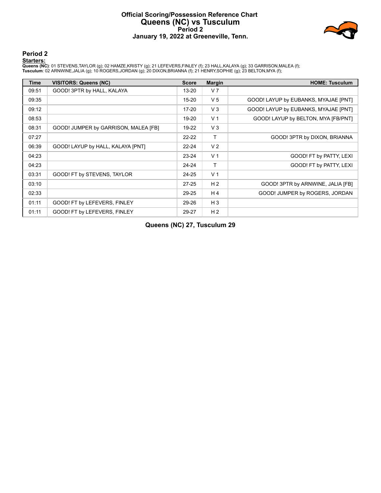# **Official Scoring/Possession Reference Chart Queens (NC) vs Tusculum Period 2 January 19, 2022 at Greeneville, Tenn.**



# **Period 2**

### **Starters:**

**Queens (NC)**: 01 STEVENS,TAYLOR (g); 02 HAMZE,KRISTY (g); 21 LEFEVERS,FINLEY (f); 23 HALL,KALAYA (g); 33 GARRISON,MALEA (f);<br>**Tusculum**: 02 ARNWINE,JALIA (g); 10 ROGERS,JORDAN (g); 20 DIXON,BRIANNA (f); 21 HENRY,SOPHIE (g

| <b>Time</b> | VISITORS: Queens (NC)                | <b>Score</b> | <b>Margin</b>  | <b>HOME: Tusculum</b>                |
|-------------|--------------------------------------|--------------|----------------|--------------------------------------|
| 09:51       | GOOD! 3PTR by HALL, KALAYA           | 13-20        | V <sub>7</sub> |                                      |
| 09:35       |                                      | $15-20$      | V <sub>5</sub> | GOOD! LAYUP by EUBANKS, MYAJAE [PNT] |
| 09:12       |                                      | $17 - 20$    | V <sub>3</sub> | GOOD! LAYUP by EUBANKS, MYAJAE [PNT] |
| 08:53       |                                      | 19-20        | V <sub>1</sub> | GOOD! LAYUP by BELTON, MYA [FB/PNT]  |
| 08:31       | GOOD! JUMPER by GARRISON, MALEA [FB] | 19-22        | V <sub>3</sub> |                                      |
| 07:27       |                                      | $22 - 22$    | Τ              | GOOD! 3PTR by DIXON, BRIANNA         |
| 06:39       | GOOD! LAYUP by HALL, KALAYA [PNT]    | $22 - 24$    | V <sub>2</sub> |                                      |
| 04:23       |                                      | $23 - 24$    | V <sub>1</sub> | GOOD! FT by PATTY, LEXI              |
| 04:23       |                                      | $24 - 24$    | т              | GOOD! FT by PATTY, LEXI              |
| 03:31       | GOOD! FT by STEVENS, TAYLOR          | $24 - 25$    | V <sub>1</sub> |                                      |
| 03:10       |                                      | $27 - 25$    | H <sub>2</sub> | GOOD! 3PTR by ARNWINE, JALIA [FB]    |
| 02:33       |                                      | 29-25        | H <sub>4</sub> | GOOD! JUMPER by ROGERS, JORDAN       |
| 01:11       | GOOD! FT by LEFEVERS, FINLEY         | 29-26        | $H_3$          |                                      |
| 01:11       | GOOD! FT by LEFEVERS, FINLEY         | 29-27        | H <sub>2</sub> |                                      |

**Queens (NC) 27, Tusculum 29**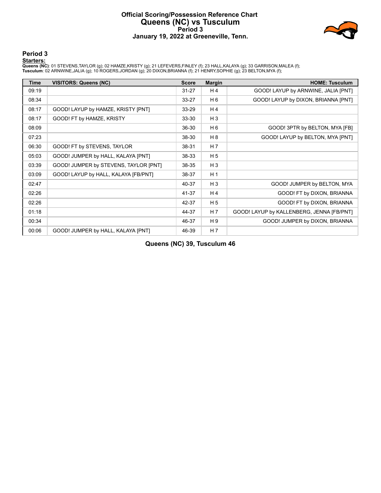# **Official Scoring/Possession Reference Chart Queens (NC) vs Tusculum Period 3 January 19, 2022 at Greeneville, Tenn.**



**Period 3**

### **Starters:**

**Queens (NC)**: 01 STEVENS,TAYLOR (g); 02 HAMZE,KRISTY (g); 21 LEFEVERS,FINLEY (f); 23 HALL,KALAYA (g); 33 GARRISON,MALEA (f);<br>**Tusculum**: 02 ARNWINE,JALIA (g); 10 ROGERS,JORDAN (g); 20 DIXON,BRIANNA (f); 21 HENRY,SOPHIE (g

| <b>Time</b> | <b>VISITORS: Queens (NC)</b>          | <b>Score</b> | <b>Margin</b>  | <b>HOME: Tusculum</b>                     |
|-------------|---------------------------------------|--------------|----------------|-------------------------------------------|
| 09:19       |                                       | $31 - 27$    | H 4            | GOOD! LAYUP by ARNWINE, JALIA [PNT]       |
| 08:34       |                                       | $33 - 27$    | H <sub>6</sub> | GOOD! LAYUP by DIXON, BRIANNA [PNT]       |
| 08:17       | GOOD! LAYUP by HAMZE, KRISTY [PNT]    | 33-29        | H <sub>4</sub> |                                           |
| 08:17       | GOOD! FT by HAMZE, KRISTY             | 33-30        | $H_3$          |                                           |
| 08:09       |                                       | 36-30        | H <sub>6</sub> | GOOD! 3PTR by BELTON, MYA [FB]            |
| 07:23       |                                       | 38-30        | H 8            | GOOD! LAYUP by BELTON, MYA [PNT]          |
| 06:30       | GOOD! FT by STEVENS, TAYLOR           | 38-31        | H <sub>7</sub> |                                           |
| 05:03       | GOOD! JUMPER by HALL, KALAYA [PNT]    | 38-33        | H <sub>5</sub> |                                           |
| 03:39       | GOOD! JUMPER by STEVENS, TAYLOR [PNT] | 38-35        | $H_3$          |                                           |
| 03:09       | GOOD! LAYUP by HALL, KALAYA [FB/PNT]  | 38-37        | H <sub>1</sub> |                                           |
| 02:47       |                                       | 40-37        | $H_3$          | GOOD! JUMPER by BELTON, MYA               |
| 02:26       |                                       | 41-37        | H <sub>4</sub> | GOOD! FT by DIXON, BRIANNA                |
| 02:26       |                                       | 42-37        | H <sub>5</sub> | GOOD! FT by DIXON, BRIANNA                |
| 01:18       |                                       | 44-37        | H <sub>7</sub> | GOOD! LAYUP by KALLENBERG, JENNA [FB/PNT] |
| 00:34       |                                       | 46-37        | H <sub>9</sub> | GOOD! JUMPER by DIXON, BRIANNA            |
| 00:06       | GOOD! JUMPER by HALL, KALAYA [PNT]    | 46-39        | H <sub>7</sub> |                                           |

**Queens (NC) 39, Tusculum 46**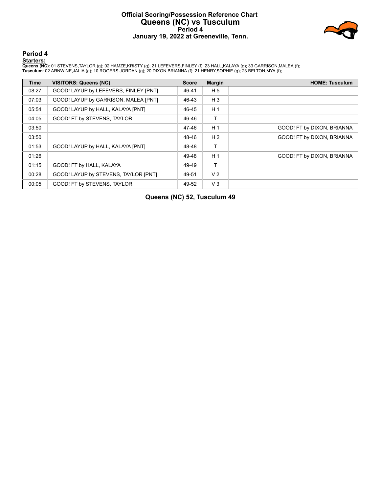# **Official Scoring/Possession Reference Chart Queens (NC) vs Tusculum Period 4 January 19, 2022 at Greeneville, Tenn.**



**Period 4**

### **Starters:**

**Queens (NC)**: 01 STEVENS,TAYLOR (g); 02 HAMZE,KRISTY (g); 21 LEFEVERS,FINLEY (f); 23 HALL,KALAYA (g); 33 GARRISON,MALEA (f);<br>**Tusculum**: 02 ARNWINE,JALIA (g); 10 ROGERS,JORDAN (g); 20 DIXON,BRIANNA (f); 21 HENRY,SOPHIE (g

| <b>Time</b> | <b>VISITORS: Queens (NC)</b>          | <b>Score</b> | <b>Margin</b>  | <b>HOME: Tusculum</b>      |
|-------------|---------------------------------------|--------------|----------------|----------------------------|
| 08:27       | GOOD! LAYUP by LEFEVERS, FINLEY [PNT] | 46-41        | H 5            |                            |
| 07:03       | GOOD! LAYUP by GARRISON, MALEA [PNT]  | 46-43        | $H_3$          |                            |
| 05:54       | GOOD! LAYUP by HALL, KALAYA [PNT]     | 46-45        | H <sub>1</sub> |                            |
| 04:05       | GOOD! FT by STEVENS, TAYLOR           | 46-46        | т              |                            |
| 03:50       |                                       | 47-46        | H <sub>1</sub> | GOOD! FT by DIXON, BRIANNA |
| 03:50       |                                       | 48-46        | H <sub>2</sub> | GOOD! FT by DIXON, BRIANNA |
| 01:53       | GOOD! LAYUP by HALL, KALAYA [PNT]     | 48-48        |                |                            |
| 01:26       |                                       | 49-48        | H <sub>1</sub> | GOOD! FT by DIXON, BRIANNA |
| 01:15       | GOOD! FT by HALL, KALAYA              | 49-49        | т              |                            |
| 00:28       | GOOD! LAYUP by STEVENS, TAYLOR [PNT]  | 49-51        | V <sub>2</sub> |                            |
| 00:05       | GOOD! FT by STEVENS, TAYLOR           | 49-52        | V <sub>3</sub> |                            |

**Queens (NC) 52, Tusculum 49**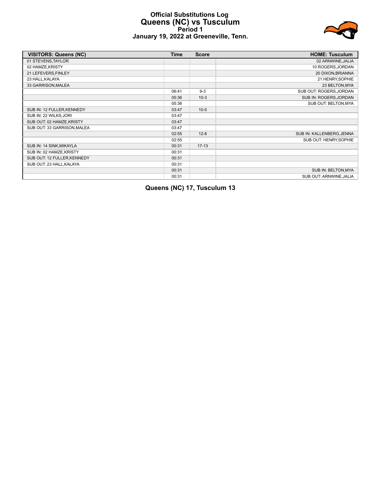# **Official Substitutions Log Queens (NC) vs Tusculum Period 1 January 19, 2022 at Greeneville, Tenn.**



| <b>VISITORS: Queens (NC)</b> | <b>Time</b> | <b>Score</b> | <b>HOME: Tusculum</b>     |
|------------------------------|-------------|--------------|---------------------------|
| 01 STEVENS, TAYLOR           |             |              | 02 ARNWINE, JALIA         |
| 02 HAMZE, KRISTY             |             |              | 10 ROGERS, JORDAN         |
| 21 LEFEVERS, FINLEY          |             |              | 20 DIXON, BRIANNA         |
| 23 HALL, KALAYA              |             |              | 21 HENRY, SOPHIE          |
| 33 GARRISON, MALEA           |             |              | 23 BELTON, MYA            |
|                              | 06:41       | $9-3$        | SUB OUT: ROGERS, JORDAN   |
|                              | 05:36       | $10-3$       | SUB IN: ROGERS, JORDAN    |
|                              | 05:36       |              | SUB OUT: BELTON, MYA      |
| SUB IN: 12 FULLER, KENNEDY   | 03:47       | $10-5$       |                           |
| SUB IN: 22 WILKS, JORI       | 03:47       |              |                           |
| SUB OUT: 02 HAMZE, KRISTY    | 03:47       |              |                           |
| SUB OUT: 33 GARRISON, MALEA  | 03:47       |              |                           |
|                              | 02:55       | $12 - 8$     | SUB IN: KALLENBERG, JENNA |
|                              | 02:55       |              | SUB OUT: HENRY, SOPHIE    |
| SUB IN: 14 SINK, MIKAYLA     | 00:31       | $17-13$      |                           |
| SUB IN: 02 HAMZE, KRISTY     | 00:31       |              |                           |
| SUB OUT: 12 FULLER, KENNEDY  | 00:31       |              |                           |
| SUB OUT: 23 HALL, KALAYA     | 00:31       |              |                           |
|                              | 00:31       |              | SUB IN: BELTON, MYA       |
|                              | 00:31       |              | SUB OUT: ARNWINE, JALIA   |

**Queens (NC) 17, Tusculum 13**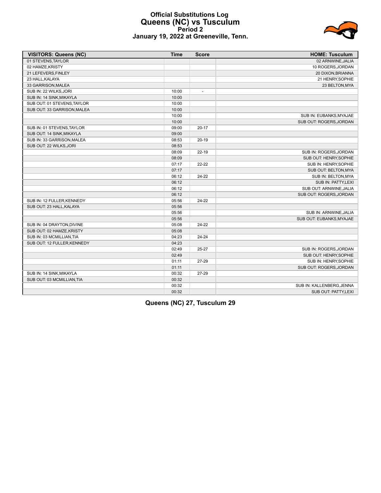# **Official Substitutions Log Queens (NC) vs Tusculum Period 2 January 19, 2022 at Greeneville, Tenn.**

| <b>VISITORS: Queens (NC)</b> | <b>Time</b> | <b>Score</b>             | <b>HOME: Tusculum</b>     |
|------------------------------|-------------|--------------------------|---------------------------|
| 01 STEVENS, TAYLOR           |             |                          | 02 ARNWINE, JALIA         |
| 02 HAMZE, KRISTY             |             |                          | 10 ROGERS, JORDAN         |
| 21 LEFEVERS, FINLEY          |             |                          | 20 DIXON, BRIANNA         |
| 23 HALL, KALAYA              |             |                          | 21 HENRY, SOPHIE          |
| 33 GARRISON, MALEA           |             |                          | 23 BELTON, MYA            |
| SUB IN: 22 WILKS, JORI       | 10:00       | $\overline{\phantom{a}}$ |                           |
| SUB IN: 14 SINK, MIKAYLA     | 10:00       |                          |                           |
| SUB OUT: 01 STEVENS, TAYLOR  | 10:00       |                          |                           |
| SUB OUT: 33 GARRISON, MALEA  | 10:00       |                          |                           |
|                              | 10:00       |                          | SUB IN: EUBANKS, MYAJAE   |
|                              | 10:00       |                          | SUB OUT: ROGERS, JORDAN   |
| SUB IN: 01 STEVENS, TAYLOR   | 09:00       | $20 - 17$                |                           |
| SUB OUT: 14 SINK, MIKAYLA    | 09:00       |                          |                           |
| SUB IN: 33 GARRISON, MALEA   | 08:53       | $20-19$                  |                           |
| SUB OUT: 22 WILKS, JORI      | 08:53       |                          |                           |
|                              | 08:09       | $22 - 19$                | SUB IN: ROGERS, JORDAN    |
|                              | 08:09       |                          | SUB OUT: HENRY, SOPHIE    |
|                              | 07:17       | $22 - 22$                | SUB IN: HENRY, SOPHIE     |
|                              | 07:17       |                          | SUB OUT: BELTON, MYA      |
|                              | 06:12       | 24-22                    | SUB IN: BELTON, MYA       |
|                              | 06:12       |                          | SUB IN: PATTY, LEXI       |
|                              | 06:12       |                          | SUB OUT: ARNWINE.JALIA    |
|                              | 06:12       |                          | SUB OUT: ROGERS, JORDAN   |
| SUB IN: 12 FULLER, KENNEDY   | 05:56       | 24-22                    |                           |
| SUB OUT: 23 HALL, KALAYA     | 05:56       |                          |                           |
|                              | 05:56       |                          | SUB IN: ARNWINE, JALIA    |
|                              | 05:56       |                          | SUB OUT: EUBANKS.MYAJAE   |
| SUB IN: 04 DRAYTON, DIVINE   | 05:08       | 24-22                    |                           |
| SUB OUT: 02 HAMZE, KRISTY    | 05:08       |                          |                           |
| SUB IN: 03 MCMILLIAN, TIA    | 04:23       | 24-24                    |                           |
| SUB OUT: 12 FULLER.KENNEDY   | 04:23       |                          |                           |
|                              | 02:49       | $25 - 27$                | SUB IN: ROGERS, JORDAN    |
|                              | 02:49       |                          | SUB OUT: HENRY, SOPHIE    |
|                              | 01:11       | 27-29                    | SUB IN: HENRY, SOPHIE     |
|                              | 01:11       |                          | SUB OUT: ROGERS, JORDAN   |
| SUB IN: 14 SINK, MIKAYLA     | 00:32       | 27-29                    |                           |
| SUB OUT: 03 MCMILLIAN.TIA    | 00:32       |                          |                           |
|                              | 00:32       |                          | SUB IN: KALLENBERG, JENNA |
|                              | 00:32       |                          | SUB OUT: PATTY, LEXI      |

**Queens (NC) 27, Tusculum 29**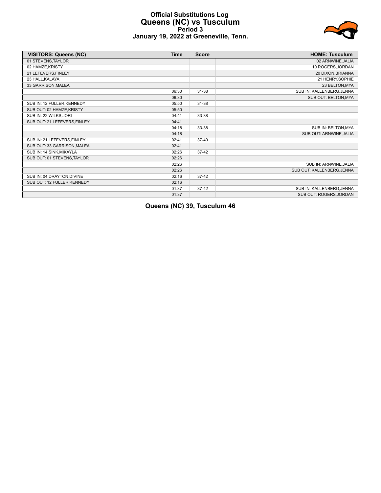# **Official Substitutions Log Queens (NC) vs Tusculum Period 3 January 19, 2022 at Greeneville, Tenn.**



| <b>VISITORS: Queens (NC)</b> | <b>Time</b> | <b>Score</b> | <b>HOME: Tusculum</b>      |
|------------------------------|-------------|--------------|----------------------------|
| 01 STEVENS, TAYLOR           |             |              | 02 ARNWINE, JALIA          |
| 02 HAMZE, KRISTY             |             |              | 10 ROGERS, JORDAN          |
| 21 LEFEVERS, FINLEY          |             |              | 20 DIXON, BRIANNA          |
| 23 HALL, KALAYA              |             |              | 21 HENRY, SOPHIE           |
| 33 GARRISON, MALEA           |             |              | 23 BELTON, MYA             |
|                              | 06:30       | $31 - 38$    | SUB IN: KALLENBERG, JENNA  |
|                              | 06:30       |              | SUB OUT: BELTON, MYA       |
| SUB IN: 12 FULLER, KENNEDY   | 05:50       | $31 - 38$    |                            |
| SUB OUT: 02 HAMZE, KRISTY    | 05:50       |              |                            |
| SUB IN: 22 WILKS, JORI       | 04:41       | 33-38        |                            |
| SUB OUT: 21 LEFEVERS, FINLEY | 04:41       |              |                            |
|                              | 04:18       | 33-38        | SUB IN: BELTON, MYA        |
|                              | 04:18       |              | SUB OUT: ARNWINE, JALIA    |
| SUB IN: 21 LEFEVERS, FINLEY  | 02:41       | $37 - 40$    |                            |
| SUB OUT: 33 GARRISON, MALEA  | 02:41       |              |                            |
| SUB IN: 14 SINK, MIKAYLA     | 02:26       | 37-42        |                            |
| SUB OUT: 01 STEVENS, TAYLOR  | 02:26       |              |                            |
|                              | 02:26       |              | SUB IN: ARNWINE, JALIA     |
|                              | 02:26       |              | SUB OUT: KALLENBERG, JENNA |
| SUB IN: 04 DRAYTON, DIVINE   | 02:16       | $37-42$      |                            |
| SUB OUT: 12 FULLER, KENNEDY  | 02:16       |              |                            |
|                              | 01:37       | $37-42$      | SUB IN: KALLENBERG, JENNA  |
|                              | 01:37       |              | SUB OUT: ROGERS, JORDAN    |

**Queens (NC) 39, Tusculum 46**